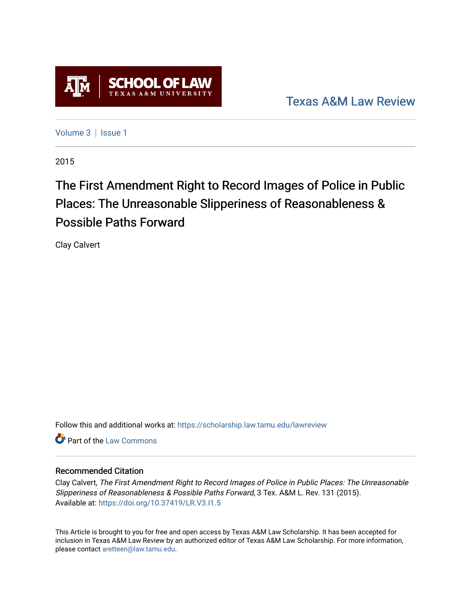

[Texas A&M Law Review](https://scholarship.law.tamu.edu/lawreview) 

[Volume 3](https://scholarship.law.tamu.edu/lawreview/vol3) | Issue 1

2015

# The First Amendment Right to Record Images of Police in Public Places: The Unreasonable Slipperiness of Reasonableness & Possible Paths Forward

Clay Calvert

Follow this and additional works at: [https://scholarship.law.tamu.edu/lawreview](https://scholarship.law.tamu.edu/lawreview?utm_source=scholarship.law.tamu.edu%2Flawreview%2Fvol3%2Fiss1%2F7&utm_medium=PDF&utm_campaign=PDFCoverPages)

**C** Part of the [Law Commons](http://network.bepress.com/hgg/discipline/578?utm_source=scholarship.law.tamu.edu%2Flawreview%2Fvol3%2Fiss1%2F7&utm_medium=PDF&utm_campaign=PDFCoverPages)

# Recommended Citation

Clay Calvert, The First Amendment Right to Record Images of Police in Public Places: The Unreasonable Slipperiness of Reasonableness & Possible Paths Forward, 3 Tex. A&M L. Rev. 131 (2015). Available at:<https://doi.org/10.37419/LR.V3.I1.5>

This Article is brought to you for free and open access by Texas A&M Law Scholarship. It has been accepted for inclusion in Texas A&M Law Review by an authorized editor of Texas A&M Law Scholarship. For more information, please contact [aretteen@law.tamu.edu.](mailto:aretteen@law.tamu.edu)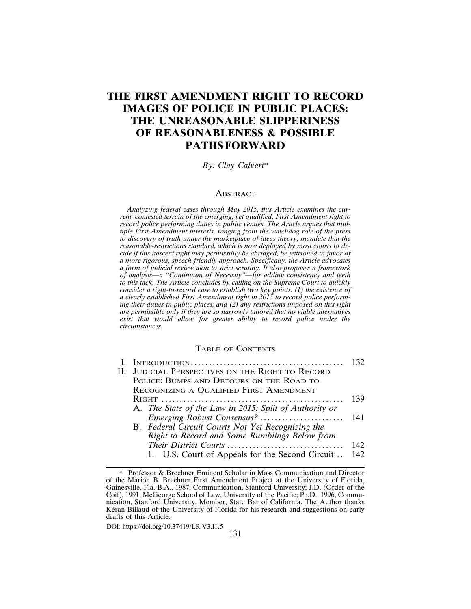# **THE FIRST AMENDMENT RIGHT TO RECORD IMAGES OF POLICE IN PUBLIC PLACES: THE UNREASONABLE SLIPPERINESS OF REASONABLENESS & POSSIBLE PATHS FORWARD**

# *By: Clay Calvert*\*

#### **ABSTRACT**

*Analyzing federal cases through May 2015, this Article examines the current, contested terrain of the emerging, yet qualified, First Amendment right to record police performing duties in public venues. The Article argues that multiple First Amendment interests, ranging from the watchdog role of the press to discovery of truth under the marketplace of ideas theory, mandate that the reasonable-restrictions standard, which is now deployed by most courts to decide if this nascent right may permissibly be abridged, be jettisoned in favor of a more rigorous, speech-friendly approach. Specifically, the Article advocates a form of judicial review akin to strict scrutiny. It also proposes a framework of analysis—a "Continuum of Necessity"—for adding consistency and teeth to this tack. The Article concludes by calling on the Supreme Court to quickly consider a right-to-record case to establish two key points: (1) the existence of a clearly established First Amendment right in 2015 to record police performing their duties in public places; and (2) any restrictions imposed on this right are permissible only if they are so narrowly tailored that no viable alternatives exist that would allow for greater ability to record police under the circumstances.*

#### TABLE OF CONTENTS

|    |                                                        | 132 |
|----|--------------------------------------------------------|-----|
| Н. | <b>JUDICIAL PERSPECTIVES ON THE RIGHT TO RECORD</b>    |     |
|    | POLICE: BUMPS AND DETOURS ON THE ROAD TO               |     |
|    | RECOGNIZING A QUALIFIED FIRST AMENDMENT                |     |
|    |                                                        | 139 |
|    | A. The State of the Law in 2015: Split of Authority or |     |
|    | Emerging Robust Consensus?                             | 141 |
|    | B. Federal Circuit Courts Not Yet Recognizing the      |     |
|    | Right to Record and Some Rumblings Below from          |     |
|    | Their District Courts                                  | 142 |
|    | 1. U.S. Court of Appeals for the Second Circuit        | 142 |
|    |                                                        |     |

DOI: https://doi.org/10.37419/LR.V3.I1.5

<sup>\*</sup> Professor & Brechner Eminent Scholar in Mass Communication and Director of the Marion B. Brechner First Amendment Project at the University of Florida, Gainesville, Fla. B.A., 1987, Communication, Stanford University; J.D. (Order of the Coif), 1991, McGeorge School of Law, University of the Pacific; Ph.D., 1996, Communication, Stanford University. Member, State Bar of California. The Author thanks K eran Billaud of the University of Florida for his research and suggestions on early drafts of this Article.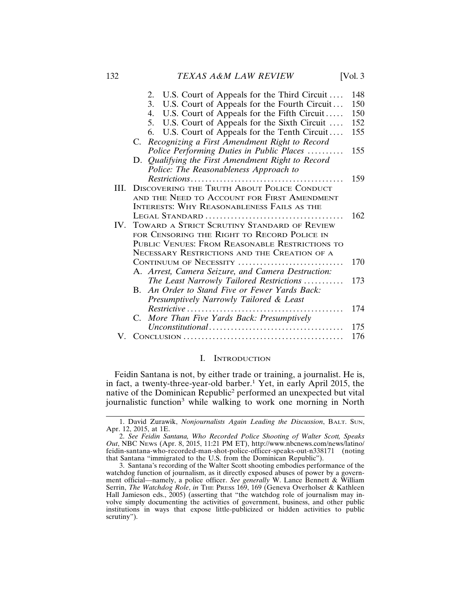|     | U.S. Court of Appeals for the Third Circuit<br>2.             | 148 |
|-----|---------------------------------------------------------------|-----|
|     | 3.<br>U.S. Court of Appeals for the Fourth Circuit            | 150 |
|     | U.S. Court of Appeals for the Fifth Circuit<br>4.             | 150 |
|     | U.S. Court of Appeals for the Sixth Circuit<br>5.             | 152 |
|     | U.S. Court of Appeals for the Tenth Circuit<br>6.             | 155 |
|     | Recognizing a First Amendment Right to Record<br>C.           |     |
|     | Police Performing Duties in Public Places                     | 155 |
|     | D. Qualifying the First Amendment Right to Record             |     |
|     | Police: The Reasonableness Approach to                        |     |
|     |                                                               | 159 |
| Ш.  | <b>DISCOVERING THE TRUTH ABOUT POLICE CONDUCT</b>             |     |
|     | AND THE NEED TO ACCOUNT FOR FIRST AMENDMENT                   |     |
|     | INTERESTS: WHY REASONABLENESS FAILS AS THE                    |     |
|     |                                                               | 162 |
| IV. | TOWARD A STRICT SCRUTINY STANDARD OF REVIEW                   |     |
|     | FOR CENSORING THE RIGHT TO RECORD POLICE IN                   |     |
|     | PUBLIC VENUES: FROM REASONABLE RESTRICTIONS TO                |     |
|     | NECESSARY RESTRICTIONS AND THE CREATION OF A                  |     |
|     | CONTINUUM OF NECESSITY                                        | 170 |
|     | A. Arrest, Camera Seizure, and Camera Destruction:            |     |
|     | The Least Narrowly Tailored Restrictions                      | 173 |
|     | An Order to Stand Five or Fewer Yards Back:<br>$\mathbf{B}$ . |     |
|     | Presumptively Narrowly Tailored & Least                       |     |
|     | $Restrictive$                                                 | 174 |
|     | $C_{\cdot}$<br>More Than Five Yards Back: Presumptively       |     |
|     |                                                               | 175 |
| V.  |                                                               | 176 |

#### I. INTRODUCTION

Feidin Santana is not, by either trade or training, a journalist. He is, in fact, a twenty-three-year-old barber.<sup>1</sup> Yet, in early April 2015, the native of the Dominican Republic<sup>2</sup> performed an unexpected but vital journalistic function<sup>3</sup> while walking to work one morning in North

<sup>1.</sup> David Zurawik, *Nonjournalists Again Leading the Discussion*, BALT. SUN, Apr. 12, 2015, at 1E.

<sup>2.</sup> *See Feidin Santana, Who Recorded Police Shooting of Walter Scott, Speaks Out*, NBC NEWS (Apr. 8, 2015, 11:21 PM ET), http://www.nbcnews.com/news/latino/ feidin-santana-who-recorded-man-shot-police-officer-speaks-out-n338171 (noting that Santana "immigrated to the U.S. from the Dominican Republic").

<sup>3.</sup> Santana's recording of the Walter Scott shooting embodies performance of the watchdog function of journalism, as it directly exposed abuses of power by a government official—namely, a police officer. *See generally* W. Lance Bennett & William Serrin, *The Watchdog Role*, *in* THE PRESS 169, 169 (Geneva Overholser & Kathleen Hall Jamieson eds., 2005) (asserting that "the watchdog role of journalism may involve simply documenting the activities of government, business, and other public institutions in ways that expose little-publicized or hidden activities to public scrutiny").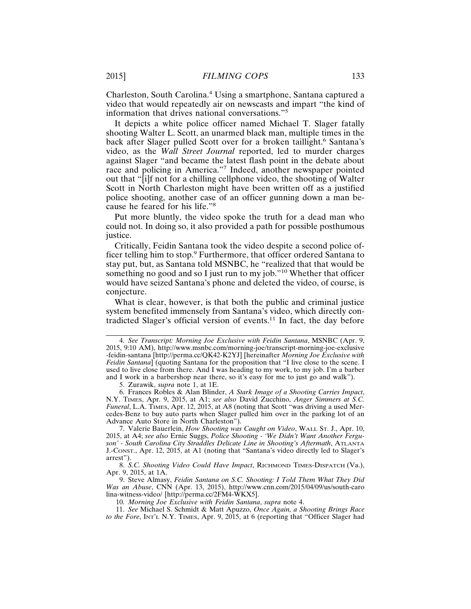Charleston, South Carolina.<sup>4</sup> Using a smartphone, Santana captured a video that would repeatedly air on newscasts and impart "the kind of information that drives national conversations."<sup>5</sup>

It depicts a white police officer named Michael T. Slager fatally shooting Walter L. Scott, an unarmed black man, multiple times in the back after Slager pulled Scott over for a broken taillight.<sup>6</sup> Santana's video, as the *Wall Street Journal* reported, led to murder charges against Slager "and became the latest flash point in the debate about race and policing in America."<sup>7</sup> Indeed, another newspaper pointed out that "[i]f not for a chilling cellphone video, the shooting of Walter Scott in North Charleston might have been written off as a justified police shooting, another case of an officer gunning down a man because he feared for his life."<sup>8</sup>

Put more bluntly, the video spoke the truth for a dead man who could not. In doing so, it also provided a path for possible posthumous justice.

Critically, Feidin Santana took the video despite a second police officer telling him to stop.<sup>9</sup> Furthermore, that officer ordered Santana to stay put, but, as Santana told MSNBC, he "realized that that would be something no good and so I just run to my job."10 Whether that officer would have seized Santana's phone and deleted the video, of course, is conjecture.

What is clear, however, is that both the public and criminal justice system benefited immensely from Santana's video, which directly contradicted Slager's official version of events.11 In fact, the day before

8. *S.C. Shooting Video Could Have Impact*, RICHMOND TIMES-DISPATCH (Va.), Apr. 9, 2015, at 1A.

9. Steve Almasy, *Feidin Santana on S.C. Shooting: I Told Them What They Did Was an Abuse*, CNN (Apr. 13, 2015), http://www.cnn.com/2015/04/09/us/south-caro lina-witness-video/ [http://perma.cc/2FM4-WKX5].

10. *Morning Joe Exclusive with Feidin Santana*, *supra* note 4.

11. *See* Michael S. Schmidt & Matt Apuzzo, *Once Again, a Shooting Brings Race to the Fore*, INT'L N.Y. TIMES, Apr. 9, 2015, at 6 (reporting that "Officer Slager had

<sup>4.</sup> *See Transcript: Morning Joe Exclusive with Feidin Santana*, MSNBC (Apr. 9, 2015, 9:10 AM), http://www.msnbc.com/morning-joe/transcript-morning-joe-exclusive -feidin-santana [http://perma.cc/QK42-K2YJ] [hereinafter *Morning Joe Exclusive with Feidin Santana*] (quoting Santana for the proposition that "I live close to the scene. I used to live close from there. And I was heading to my work, to my job. I'm a barber and I work in a barbershop near there, so it's easy for me to just go and walk").

<sup>5.</sup> Zurawik, *supra* note 1, at 1E.

<sup>6.</sup> Frances Robles & Alan Blinder, *A Stark Image of a Shooting Carries Impact*, N.Y. TIMES, Apr. 9, 2015, at A1; *see also* David Zucchino, *Anger Simmers at S.C. Funeral*, L.A. TIMES, Apr. 12, 2015, at A8 (noting that Scott "was driving a used Mercedes-Benz to buy auto parts when Slager pulled him over in the parking lot of an Advance Auto Store in North Charleston").

<sup>7.</sup> Valerie Bauerlein, *How Shooting was Caught on Video*, WALL ST. J., Apr. 10, 2015, at A4; *see also* Ernie Suggs, *Police Shooting - 'We Didn't Want Another Ferguson' - South Carolina City Straddles Delicate Line in Shooting's Aftermath*, ATLANTA J.-CONST., Apr. 12, 2015, at A1 (noting that "Santana's video directly led to Slager's arrest").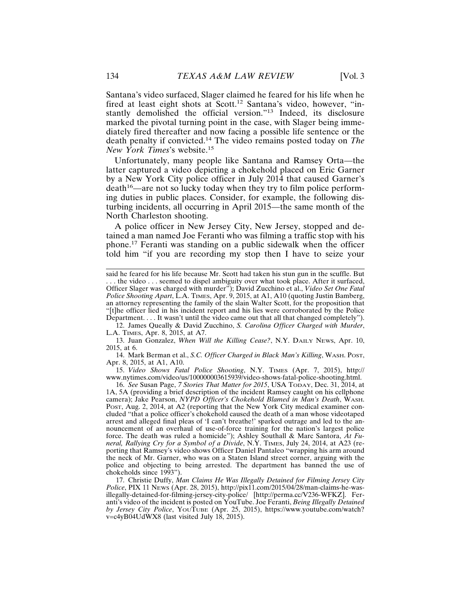Santana's video surfaced, Slager claimed he feared for his life when he fired at least eight shots at Scott.<sup>12</sup> Santana's video, however, "instantly demolished the official version."13 Indeed, its disclosure marked the pivotal turning point in the case, with Slager being immediately fired thereafter and now facing a possible life sentence or the death penalty if convicted.14 The video remains posted today on *The New York Times*'s website.15

Unfortunately, many people like Santana and Ramsey Orta—the latter captured a video depicting a chokehold placed on Eric Garner by a New York City police officer in July 2014 that caused Garner's  $death^{16}$ —are not so lucky today when they try to film police performing duties in public places. Consider, for example, the following disturbing incidents, all occurring in April 2015—the same month of the North Charleston shooting.

A police officer in New Jersey City, New Jersey, stopped and detained a man named Joe Feranti who was filming a traffic stop with his phone.17 Feranti was standing on a public sidewalk when the officer told him "if you are recording my stop then I have to seize your

12. James Queally & David Zucchino, *S. Carolina Officer Charged with Murder*, L.A. TIMES, Apr. 8, 2015, at A7.

13. Juan Gonzalez, *When Will the Killing Cease?*, N.Y. DAILY NEWS, Apr. 10, 2015, at 6.

14. Mark Berman et al., *S.C. Officer Charged in Black Man's Killing*, WASH. POST, Apr. 8, 2015, at A1, A10.

15. *Video Shows Fatal Police Shooting*, N.Y. TIMES (Apr. 7, 2015), http:// www.nytimes.com/video/us/100000003615939/video-shows-fatal-police-shooting.html.

16. *See* Susan Page, *7 Stories That Matter for 2015*, USA TODAY, Dec. 31, 2014, at 1A, 5A (providing a brief description of the incident Ramsey caught on his cellphone camera); Jake Pearson, *NYPD Officer's Chokehold Blamed in Man's Death*, WASH. POST, Aug. 2, 2014, at A2 (reporting that the New York City medical examiner concluded "that a police officer's chokehold caused the death of a man whose videotaped arrest and alleged final pleas of 'I can't breathe!' sparked outrage and led to the announcement of an overhaul of use-of-force training for the nation's largest police force. The death was ruled a homicide"); Ashley Southall & Marc Santora, *At Funeral, Rallying Cry for a Symbol of a Divide*, N.Y. TIMES, July 24, 2014, at A23 (reporting that Ramsey's video shows Officer Daniel Pantaleo "wrapping his arm around the neck of Mr. Garner, who was on a Staten Island street corner, arguing with the police and objecting to being arrested. The department has banned the use of chokeholds since 1993").

17. Christie Duffy, *Man Claims He Was Illegally Detained for Filming Jersey City Police*, PIX 11 NEWS (Apr. 28, 2015), http://pix11.com/2015/04/28/man-claims-he-wasillegally-detained-for-filming-jersey-city-police/ [http://perma.cc/V236-WFKZ]. Feranti's video of the incident is posted on YouTube. Joe Feranti, *Being Illegally Detained by Jersey City Police*, YOUTUBE (Apr. 25, 2015), https://www.youtube.com/watch? v=c4yB04UdWX8 (last visited July 18, 2015).

said he feared for his life because Mr. Scott had taken his stun gun in the scuffle. But . . . the video . . . seemed to dispel ambiguity over what took place. After it surfaced, Officer Slager was charged with murder"); David Zucchino et al., *Video Set One Fatal Police Shooting Apart*, L.A. TIMES, Apr. 9, 2015, at A1, A10 (quoting Justin Bamberg, an attorney representing the family of the slain Walter Scott, for the proposition that "[t]he officer lied in his incident report and his lies were corroborated by the Police Department. . . . It wasn't until the video came out that all that changed completely").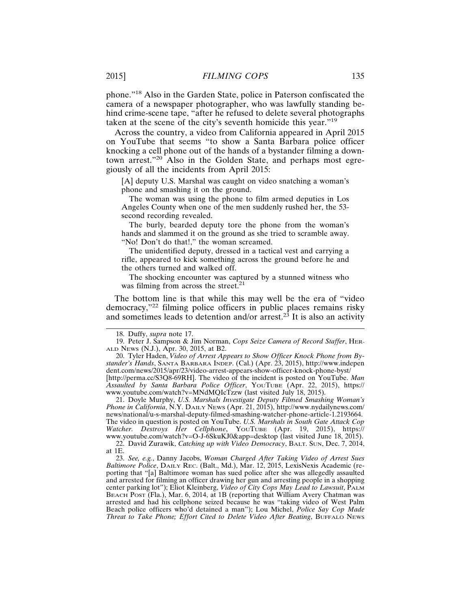phone."18 Also in the Garden State, police in Paterson confiscated the camera of a newspaper photographer, who was lawfully standing behind crime-scene tape, "after he refused to delete several photographs taken at the scene of the city's seventh homicide this year."<sup>19</sup>

Across the country, a video from California appeared in April 2015 on YouTube that seems "to show a Santa Barbara police officer knocking a cell phone out of the hands of a bystander filming a downtown arrest."<sup>20</sup> Also in the Golden State, and perhaps most egregiously of all the incidents from April 2015:

[A] deputy U.S. Marshal was caught on video snatching a woman's phone and smashing it on the ground.

The woman was using the phone to film armed deputies in Los Angeles County when one of the men suddenly rushed her, the 53 second recording revealed.

The burly, bearded deputy tore the phone from the woman's hands and slammed it on the ground as she tried to scramble away. "No! Don't do that!," the woman screamed.

The unidentified deputy, dressed in a tactical vest and carrying a rifle, appeared to kick something across the ground before he and the others turned and walked off.

The shocking encounter was captured by a stunned witness who was filming from across the street. $^{21}$ 

The bottom line is that while this may well be the era of "video democracy,"22 filming police officers in public places remains risky and sometimes leads to detention and/or  $arrest.<sup>23</sup>$  It is also an activity

21. Doyle Murphy, *U.S. Marshals Investigate Deputy Filmed Smashing Woman's Phone in California*, N.Y. DAILY NEWS (Apr. 21, 2015), http://www.nydailynews.com/ news/national/u-s-marshal-deputy-filmed-smashing-watcher-phone-article-1.2193664. The video in question is posted on YouTube. *U.S. Marshals in South Gate Attack Cop Watcher. Destroys Her Cellphone*, YOUTUBE (Apr. 19, 2015), https:// www.youtube.com/watch?v=O-J-6SkuKJ0&app=desktop (last visited June 18, 2015).

22. David Zurawik, *Catching up with Video Democracy*, BALT. SUN, Dec. 7, 2014, at 1E.

23. *See, e.g.*, Danny Jacobs, *Woman Charged After Taking Video of Arrest Sues Baltimore Police*, DAILY REC. (Balt., Md.), Mar. 12, 2015, LexisNexis Academic (reporting that "[a] Baltimore woman has sued police after she was allegedly assaulted and arrested for filming an officer drawing her gun and arresting people in a shopping center parking lot"); Eliot Kleinberg, *Video of City Cops May Lead to Lawsuit*, PALM BEACH POST (Fla.), Mar. 6, 2014, at 1B (reporting that William Avery Chatman was arrested and had his cellphone seized because he was "taking video of West Palm Beach police officers who'd detained a man"); Lou Michel, *Police Say Cop Made Threat to Take Phone; Effort Cited to Delete Video After Beating*, BUFFALO NEWS

<sup>18.</sup> Duffy, *supra* note 17.

<sup>19.</sup> Peter J. Sampson & Jim Norman, *Cops Seize Camera of Record Staffer*, HER-ALD NEWS (N.J.), Apr. 30, 2015, at B2.

<sup>20.</sup> Tyler Haden, *Video of Arrest Appears to Show Officer Knock Phone from Bystander's Hands*, SANTA BARBARA INDEP. (Cal.) (Apr. 23, 2015), http://www.indepen dent.com/news/2015/apr/23/video-arrest-appears-show-officer-knock-phone-byst/ [http://perma.cc/S3Q8-69RH]. The video of the incident is posted on YouTube. *Man Assaulted by Santa Barbara Police Officer*, YOUTUBE (Apr. 22, 2015), https:// www.youtube.com/watch?v=MNdMQIcTzzw (last visited July 18, 2015).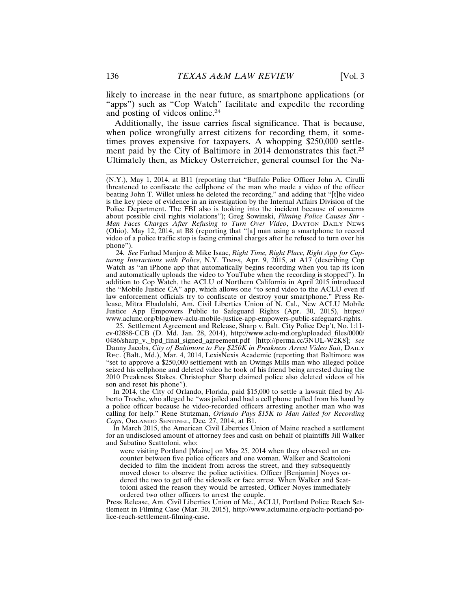likely to increase in the near future, as smartphone applications (or "apps") such as "Cop Watch" facilitate and expedite the recording and posting of videos online.<sup>24</sup>

Additionally, the issue carries fiscal significance. That is because, when police wrongfully arrest citizens for recording them, it sometimes proves expensive for taxpayers. A whopping \$250,000 settlement paid by the City of Baltimore in 2014 demonstrates this fact.<sup>25</sup> Ultimately then, as Mickey Osterreicher, general counsel for the Na-

24. *See* Farhad Manjoo & Mike Isaac, *Right Time, Right Place, Right App for Capturing Interactions with Police*, N.Y. TIMES, Apr. 9, 2015, at A17 (describing Cop Watch as "an iPhone app that automatically begins recording when you tap its icon and automatically uploads the video to YouTube when the recording is stopped"). In addition to Cop Watch, the ACLU of Northern California in April 2015 introduced the "Mobile Justice CA" app, which allows one "to send video to the ACLU even if law enforcement officials try to confiscate or destroy your smartphone." Press Release, Mitra Ebadolahi, Am. Civil Liberties Union of N. Cal., New ACLU Mobile Justice App Empowers Public to Safeguard Rights (Apr. 30, 2015), https:// www.aclunc.org/blog/new-aclu-mobile-justice-app-empowers-public-safeguard-rights.

25. Settlement Agreement and Release, Sharp v. Balt. City Police Dep't, No. 1:11 cv-02888-CCB (D. Md. Jan. 28, 2014), http://www.aclu-md.org/uploaded\_files/0000/ 0486/sharp\_v.\_bpd\_final\_signed\_agreement.pdf [http://perma.cc/3NUL-W2K8]; *see* Danny Jacobs, *City of Baltimore to Pay \$250K in Preakness Arrest Video Suit*, DAILY REC. (Balt., Md.), Mar. 4, 2014, LexisNexis Academic (reporting that Baltimore was "set to approve a \$250,000 settlement with an Owings Mills man who alleged police seized his cellphone and deleted video he took of his friend being arrested during the 2010 Preakness Stakes. Christopher Sharp claimed police also deleted videos of his son and reset his phone").

In 2014, the City of Orlando, Florida, paid \$15,000 to settle a lawsuit filed by Alberto Troche, who alleged he "was jailed and had a cell phone pulled from his hand by a police officer because he video-recorded officers arresting another man who was calling for help." Rene Stutzman, *Orlando Pays \$15K to Man Jailed for Recording Cops*, ORLANDO SENTINEL, Dec. 27, 2014, at B1.

In March 2015, the American Civil Liberties Union of Maine reached a settlement for an undisclosed amount of attorney fees and cash on behalf of plaintiffs Jill Walker and Sabatino Scattoloni, who:

were visiting Portland [Maine] on May 25, 2014 when they observed an encounter between five police officers and one woman. Walker and Scattoloni decided to film the incident from across the street, and they subsequently moved closer to observe the police activities. Officer [Benjamin] Noyes ordered the two to get off the sidewalk or face arrest. When Walker and Scattoloni asked the reason they would be arrested, Officer Noyes immediately ordered two other officers to arrest the couple.

Press Release, Am. Civil Liberties Union of Me., ACLU, Portland Police Reach Settlement in Filming Case (Mar. 30, 2015), http://www.aclumaine.org/aclu-portland-police-reach-settlement-filming-case.

<sup>(</sup>N.Y.), May 1, 2014, at B11 (reporting that "Buffalo Police Officer John A. Cirulli threatened to confiscate the cellphone of the man who made a video of the officer beating John T. Willet unless he deleted the recording," and adding that "[t]he video is the key piece of evidence in an investigation by the Internal Affairs Division of the Police Department. The FBI also is looking into the incident because of concerns about possible civil rights violations"); Greg Sowinski, *Filming Police Causes Stir -* Man Faces Charges After Refusing to Turn Over Video, DAYTON DAILY NEWS (Ohio), May 12, 2014, at B8 (reporting that "[a] man using a smartphone to record video of a police traffic stop is facing criminal charges after he refused to turn over his phone").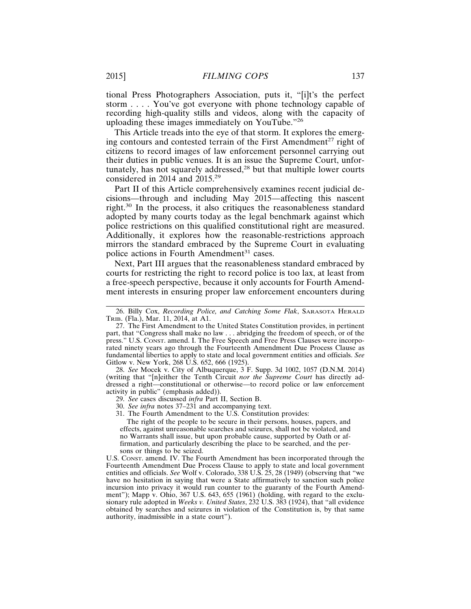tional Press Photographers Association, puts it, "[i]t's the perfect storm . . . . You've got everyone with phone technology capable of recording high-quality stills and videos, along with the capacity of uploading these images immediately on YouTube."<sup>26</sup>

This Article treads into the eye of that storm. It explores the emerging contours and contested terrain of the First Amendment<sup>27</sup> right of citizens to record images of law enforcement personnel carrying out their duties in public venues. It is an issue the Supreme Court, unfortunately, has not squarely addressed,<sup>28</sup> but that multiple lower courts considered in 2014 and 2015.<sup>29</sup>

Part II of this Article comprehensively examines recent judicial decisions—through and including May 2015—affecting this nascent right.30 In the process, it also critiques the reasonableness standard adopted by many courts today as the legal benchmark against which police restrictions on this qualified constitutional right are measured. Additionally, it explores how the reasonable-restrictions approach mirrors the standard embraced by the Supreme Court in evaluating police actions in Fourth Amendment<sup>31</sup> cases.

Next, Part III argues that the reasonableness standard embraced by courts for restricting the right to record police is too lax, at least from a free-speech perspective, because it only accounts for Fourth Amendment interests in ensuring proper law enforcement encounters during

28. *See* Mocek v. City of Albuquerque, 3 F. Supp. 3d 1002, 1057 (D.N.M. 2014) (writing that "[n]either the Tenth Circuit *nor the Supreme Court* has directly addressed a right—constitutional or otherwise—to record police or law enforcement activity in public" (emphasis added)).

29. *See* cases discussed *infra* Part II, Section B.

30. *See infra* notes 37–231 and accompanying text.

31. The Fourth Amendment to the U.S. Constitution provides:

The right of the people to be secure in their persons, houses, papers, and effects, against unreasonable searches and seizures, shall not be violated, and no Warrants shall issue, but upon probable cause, supported by Oath or affirmation, and particularly describing the place to be searched, and the persons or things to be seized.

U.S. CONST. amend. IV. The Fourth Amendment has been incorporated through the Fourteenth Amendment Due Process Clause to apply to state and local government entities and officials. *See* Wolf v. Colorado, 338 U.S. 25, 28 (1949) (observing that "we have no hesitation in saying that were a State affirmatively to sanction such police incursion into privacy it would run counter to the guaranty of the Fourth Amendment"); Mapp v. Ohio, 367 U.S. 643, 655 (1961) (holding, with regard to the exclusionary rule adopted in *Weeks v. United States*, 232 U.S. 383 (1924), that "all evidence obtained by searches and seizures in violation of the Constitution is, by that same authority, inadmissible in a state court").

<sup>26.</sup> Billy Cox, *Recording Police, and Catching Some Flak*, SARASOTA HERALD TRIB. (Fla.), Mar. 11, 2014, at A1.

<sup>27.</sup> The First Amendment to the United States Constitution provides, in pertinent part, that "Congress shall make no law . . . abridging the freedom of speech, or of the press." U.S. CONST. amend. I. The Free Speech and Free Press Clauses were incorporated ninety years ago through the Fourteenth Amendment Due Process Clause as fundamental liberties to apply to state and local government entities and officials. *See* Gitlow v. New York, 268 U.S. 652, 666 (1925).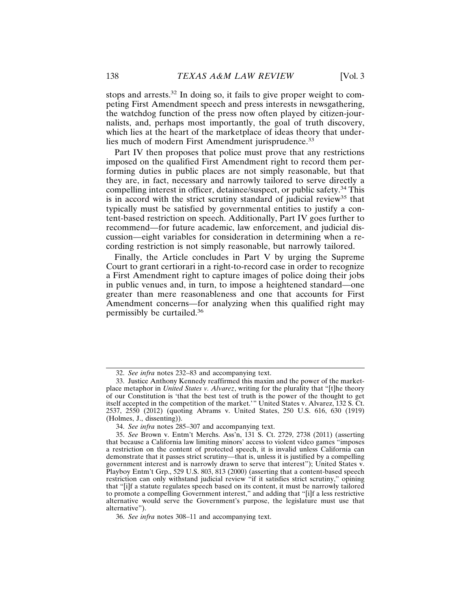stops and arrests.<sup>32</sup> In doing so, it fails to give proper weight to competing First Amendment speech and press interests in newsgathering, the watchdog function of the press now often played by citizen-journalists, and, perhaps most importantly, the goal of truth discovery, which lies at the heart of the marketplace of ideas theory that underlies much of modern First Amendment jurisprudence.<sup>33</sup>

Part IV then proposes that police must prove that any restrictions imposed on the qualified First Amendment right to record them performing duties in public places are not simply reasonable, but that they are, in fact, necessary and narrowly tailored to serve directly a compelling interest in officer, detainee/suspect, or public safety.<sup>34</sup> This is in accord with the strict scrutiny standard of judicial review<sup>35</sup> that typically must be satisfied by governmental entities to justify a content-based restriction on speech. Additionally, Part IV goes further to recommend—for future academic, law enforcement, and judicial discussion—eight variables for consideration in determining when a recording restriction is not simply reasonable, but narrowly tailored.

Finally, the Article concludes in Part V by urging the Supreme Court to grant certiorari in a right-to-record case in order to recognize a First Amendment right to capture images of police doing their jobs in public venues and, in turn, to impose a heightened standard—one greater than mere reasonableness and one that accounts for First Amendment concerns—for analyzing when this qualified right may permissibly be curtailed.36

<sup>32.</sup> *See infra* notes 232–83 and accompanying text.

<sup>33.</sup> Justice Anthony Kennedy reaffirmed this maxim and the power of the marketplace metaphor in *United States v. Alvarez*, writing for the plurality that "[t]he theory of our Constitution is 'that the best test of truth is the power of the thought to get itself accepted in the competition of the market.'" United States v. Alvarez, 132 S. Ct. 2537, 2550 (2012) (quoting Abrams v. United States, 250 U.S. 616, 630 (1919) (Holmes, J., dissenting)).

<sup>34.</sup> *See infra* notes 285–307 and accompanying text.

<sup>35.</sup> *See* Brown v. Entm't Merchs. Ass'n, 131 S. Ct. 2729, 2738 (2011) (asserting that because a California law limiting minors' access to violent video games "imposes a restriction on the content of protected speech, it is invalid unless California can demonstrate that it passes strict scrutiny—that is, unless it is justified by a compelling government interest and is narrowly drawn to serve that interest"); United States v. Playboy Entm't Grp., 529 U.S. 803, 813 (2000) (asserting that a content-based speech restriction can only withstand judicial review "if it satisfies strict scrutiny," opining that "[i]f a statute regulates speech based on its content, it must be narrowly tailored to promote a compelling Government interest," and adding that "[i]f a less restrictive alternative would serve the Government's purpose, the legislature must use that alternative").

<sup>36.</sup> *See infra* notes 308–11 and accompanying text.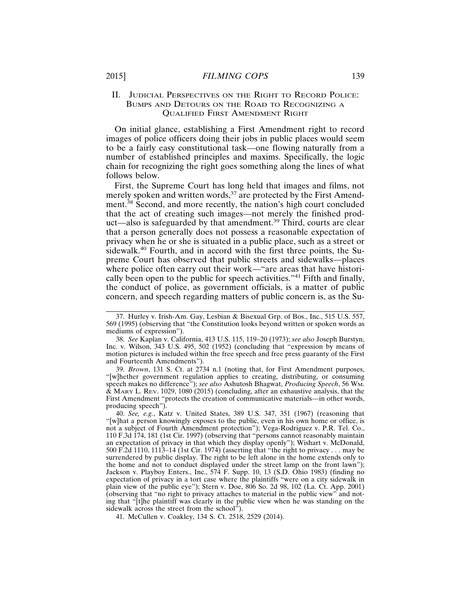# II. JUDICIAL PERSPECTIVES ON THE RIGHT TO RECORD POLICE: BUMPS AND DETOURS ON THE ROAD TO RECOGNIZING A QUALIFIED FIRST AMENDMENT RIGHT

On initial glance, establishing a First Amendment right to record images of police officers doing their jobs in public places would seem to be a fairly easy constitutional task—one flowing naturally from a number of established principles and maxims. Specifically, the logic chain for recognizing the right goes something along the lines of what follows below.

First, the Supreme Court has long held that images and films, not merely spoken and written words,<sup>37</sup> are protected by the First Amendment.<sup>38</sup> Second, and more recently, the nation's high court concluded that the act of creating such images—not merely the finished product—also is safeguarded by that amendment.39 Third, courts are clear that a person generally does not possess a reasonable expectation of privacy when he or she is situated in a public place, such as a street or sidewalk.<sup>40</sup> Fourth, and in accord with the first three points, the Supreme Court has observed that public streets and sidewalks—places where police often carry out their work—"are areas that have historically been open to the public for speech activities."<sup>41</sup> Fifth and finally, the conduct of police, as government officials, is a matter of public concern, and speech regarding matters of public concern is, as the Su-

39. *Brown*, 131 S. Ct. at 2734 n.1 (noting that, for First Amendment purposes, "[w]hether government regulation applies to creating, distributing, or consuming speech makes no difference"); *see also* Ashutosh Bhagwat, *Producing Speech*, 56 WM.  $\&$  MARY L. REV. 1029, 1080 (2015) (concluding, after an exhaustive analysis, that the First Amendment "protects the creation of communicative materials—in other words, producing speech").

40. *See, e.g.*, Katz v. United States, 389 U.S. 347, 351 (1967) (reasoning that "[w]hat a person knowingly exposes to the public, even in his own home or office, is not a subject of Fourth Amendment protection"); Vega-Rodriguez v. P.R. Tel. Co., 110 F.3d 174, 181 (1st Cir. 1997) (observing that "persons cannot reasonably maintain an expectation of privacy in that which they display openly"); Wishart v. McDonald, 500 F.2d 1110, 1113–14 (1st Cir. 1974) (asserting that "the right to privacy . . . may be surrendered by public display. The right to be left alone in the home extends only to the home and not to conduct displayed under the street lamp on the front lawn"); Jackson v. Playboy Enters., Inc., 574 F. Supp. 10, 13 (S.D. Ohio 1983) (finding no expectation of privacy in a tort case where the plaintiffs "were on a city sidewalk in plain view of the public eye"); Stern v. Doe, 806 So. 2d 98, 102 (La. Ct. App. 2001) (observing that "no right to privacy attaches to material in the public view" and noting that "[t]he plaintiff was clearly in the public view when he was standing on the sidewalk across the street from the school").

41. McCullen v. Coakley, 134 S. Ct. 2518, 2529 (2014).

<sup>37.</sup> Hurley v. Irish-Am. Gay, Lesbian & Bisexual Grp. of Bos., Inc., 515 U.S. 557, 569 (1995) (observing that "the Constitution looks beyond written or spoken words as mediums of expression").

<sup>38.</sup> *See* Kaplan v. California, 413 U.S. 115, 119–20 (1973); *see also* Joseph Burstyn, Inc. v. Wilson, 343 U.S. 495, 502 (1952) (concluding that "expression by means of motion pictures is included within the free speech and free press guaranty of the First and Fourteenth Amendments").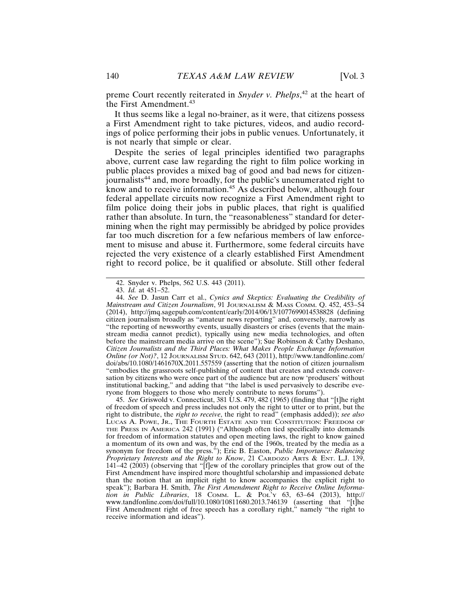preme Court recently reiterated in *Snyder v. Phelps*, 42 at the heart of the First Amendment.<sup>43</sup>

It thus seems like a legal no-brainer, as it were, that citizens possess a First Amendment right to take pictures, videos, and audio recordings of police performing their jobs in public venues. Unfortunately, it is not nearly that simple or clear.

Despite the series of legal principles identified two paragraphs above, current case law regarding the right to film police working in public places provides a mixed bag of good and bad news for citizenjournalists44 and, more broadly, for the public's unenumerated right to know and to receive information.45 As described below, although four federal appellate circuits now recognize a First Amendment right to film police doing their jobs in public places, that right is qualified rather than absolute. In turn, the "reasonableness" standard for determining when the right may permissibly be abridged by police provides far too much discretion for a few nefarious members of law enforcement to misuse and abuse it. Furthermore, some federal circuits have rejected the very existence of a clearly established First Amendment right to record police, be it qualified or absolute. Still other federal

<sup>42.</sup> Snyder v. Phelps, 562 U.S. 443 (2011).

<sup>43.</sup> *Id.* at 451–52.

<sup>44.</sup> *See* D. Jasun Carr et al., *Cynics and Skeptics: Evaluating the Credibility of Mainstream and Citizen Journalism*, 91 JOURNALISM & MASS COMM. Q. 452, 453–54 (2014), http://jmq.sagepub.com/content/early/2014/06/13/1077699014538828 (defining citizen journalism broadly as "amateur news reporting" and, conversely, narrowly as "the reporting of newsworthy events, usually disasters or crises (events that the mainstream media cannot predict), typically using new media technologies, and often before the mainstream media arrive on the scene"); Sue Robinson & Cathy Deshano, *Citizen Journalists and the Third Places: What Makes People Exchange Information Online (or Not)?*, 12 JOURNALISM STUD. 642, 643 (2011), http://www.tandfonline.com/ doi/abs/10.1080/1461670X.2011.557559 (asserting that the notion of citizen journalism "embodies the grassroots self-publishing of content that creates and extends conversation by citizens who were once part of the audience but are now 'produsers' without institutional backing," and adding that "the label is used pervasively to describe everyone from bloggers to those who merely contribute to news forums").

<sup>45.</sup> *See* Griswold v. Connecticut, 381 U.S. 479, 482 (1965) (finding that "[t]he right of freedom of speech and press includes not only the right to utter or to print, but the right to distribute, the *right to receive*, the right to read" (emphasis added)); *see also* LUCAS A. POWE, JR., THE FOURTH ESTATE AND THE CONSTITUTION: FREEDOM OF THE PRESS IN AMERICA 242 (1991) ("Although often tied specifically into demands for freedom of information statutes and open meeting laws, the right to know gained a momentum of its own and was, by the end of the 1960s, treated by the media as a synonym for freedom of the press."); Eric B. Easton, *Public Importance: Balancing Proprietary Interests and the Right to Know*, 21 CARDOZO ARTS & ENT. L.J. 139, 141–42 (2003) (observing that "[f]ew of the corollary principles that grow out of the First Amendment have inspired more thoughtful scholarship and impassioned debate than the notion that an implicit right to know accompanies the explicit right to speak"); Barbara H. Smith, *The First Amendment Right to Receive Online Information in Public Libraries*, 18 COMM. L. & POL'Y 63, 63–64 (2013), http:// www.tandfonline.com/doi/full/10.1080/10811680.2013.746139 (asserting that "[t]he First Amendment right of free speech has a corollary right," namely "the right to receive information and ideas").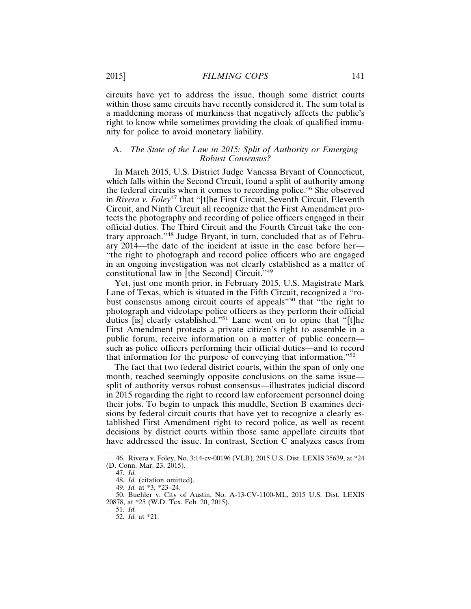circuits have yet to address the issue, though some district courts within those same circuits have recently considered it. The sum total is a maddening morass of murkiness that negatively affects the public's right to know while sometimes providing the cloak of qualified immunity for police to avoid monetary liability.

# A. *The State of the Law in 2015: Split of Authority or Emerging Robust Consensus?*

In March 2015, U.S. District Judge Vanessa Bryant of Connecticut, which falls within the Second Circuit, found a split of authority among the federal circuits when it comes to recording police.46 She observed in *Rivera v. Foley*47 that "[t]he First Circuit, Seventh Circuit, Eleventh Circuit, and Ninth Circuit all recognize that the First Amendment protects the photography and recording of police officers engaged in their official duties. The Third Circuit and the Fourth Circuit take the contrary approach."48 Judge Bryant, in turn, concluded that as of February 2014—the date of the incident at issue in the case before her— "the right to photograph and record police officers who are engaged in an ongoing investigation was not clearly established as a matter of constitutional law in [the Second] Circuit."<sup>49</sup>

Yet, just one month prior, in February 2015, U.S. Magistrate Mark Lane of Texas, which is situated in the Fifth Circuit, recognized a "robust consensus among circuit courts of appeals"<sup>50</sup> that "the right to photograph and videotape police officers as they perform their official duties [is] clearly established."<sup>51</sup> Lane went on to opine that "[t]he First Amendment protects a private citizen's right to assemble in a public forum, receive information on a matter of public concern such as police officers performing their official duties—and to record that information for the purpose of conveying that information."<sup>52</sup>

The fact that two federal district courts, within the span of only one month, reached seemingly opposite conclusions on the same issue split of authority versus robust consensus—illustrates judicial discord in 2015 regarding the right to record law enforcement personnel doing their jobs. To begin to unpack this muddle, Section B examines decisions by federal circuit courts that have yet to recognize a clearly established First Amendment right to record police, as well as recent decisions by district courts within those same appellate circuits that have addressed the issue. In contrast, Section C analyzes cases from

<sup>46.</sup> Rivera v. Foley, No. 3:14-cv-00196 (VLB), 2015 U.S. Dist. LEXIS 35639, at \*24 (D. Conn. Mar. 23, 2015).

<sup>47.</sup> *Id.*

<sup>48.</sup> *Id.* (citation omitted).

<sup>49.</sup> *Id.* at \*3, \*23–24.

<sup>50.</sup> Buehler v. City of Austin, No. A-13-CV-1100-ML, 2015 U.S. Dist. LEXIS 20878, at \*25 (W.D. Tex. Feb. 20, 2015).

<sup>51.</sup> *Id.*

<sup>52.</sup> *Id.* at \*21.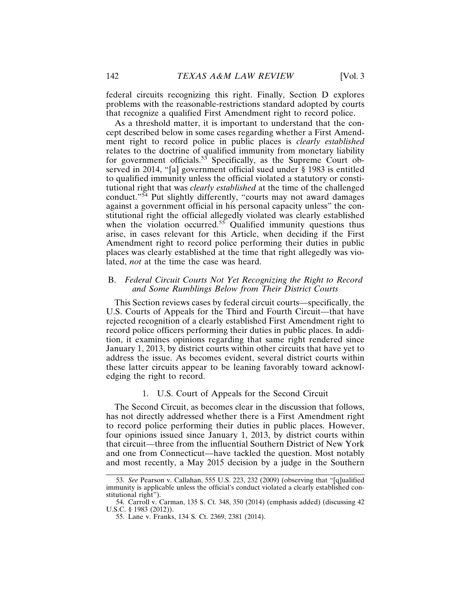federal circuits recognizing this right. Finally, Section D explores problems with the reasonable-restrictions standard adopted by courts that recognize a qualified First Amendment right to record police.

As a threshold matter, it is important to understand that the concept described below in some cases regarding whether a First Amendment right to record police in public places is *clearly established* relates to the doctrine of qualified immunity from monetary liability for government officials.<sup>53</sup> Specifically, as the Supreme Court observed in 2014, "[a] government official sued under § 1983 is entitled to qualified immunity unless the official violated a statutory or constitutional right that was *clearly established* at the time of the challenged conduct."54 Put slightly differently, "courts may not award damages against a government official in his personal capacity unless" the constitutional right the official allegedly violated was clearly established when the violation occurred.<sup>55</sup> Qualified immunity questions thus arise, in cases relevant for this Article, when deciding if the First Amendment right to record police performing their duties in public places was clearly established at the time that right allegedly was violated, *not* at the time the case was heard.

#### B. *Federal Circuit Courts Not Yet Recognizing the Right to Record and Some Rumblings Below from Their District Courts*

This Section reviews cases by federal circuit courts—specifically, the U.S. Courts of Appeals for the Third and Fourth Circuit—that have rejected recognition of a clearly established First Amendment right to record police officers performing their duties in public places. In addition, it examines opinions regarding that same right rendered since January 1, 2013, by district courts within other circuits that have yet to address the issue. As becomes evident, several district courts within these latter circuits appear to be leaning favorably toward acknowledging the right to record.

#### 1. U.S. Court of Appeals for the Second Circuit

The Second Circuit, as becomes clear in the discussion that follows, has not directly addressed whether there is a First Amendment right to record police performing their duties in public places. However, four opinions issued since January 1, 2013, by district courts within that circuit—three from the influential Southern District of New York and one from Connecticut—have tackled the question. Most notably and most recently, a May 2015 decision by a judge in the Southern

<sup>53.</sup> *See* Pearson v. Callahan, 555 U.S. 223, 232 (2009) (observing that "[q]ualified immunity is applicable unless the official's conduct violated a clearly established constitutional right").

<sup>54.</sup> Carroll v. Carman, 135 S. Ct. 348, 350 (2014) (emphasis added) (discussing 42 U.S.C. § 1983 (2012)).

<sup>55.</sup> Lane v. Franks, 134 S. Ct. 2369, 2381 (2014).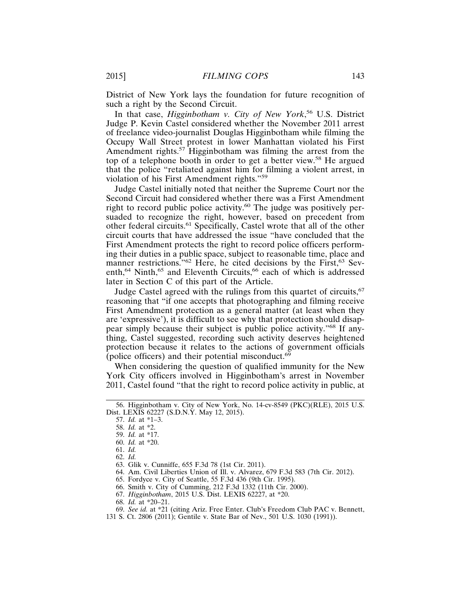District of New York lays the foundation for future recognition of such a right by the Second Circuit.

In that case, *Higginbotham v. City of New York*, 56 U.S. District Judge P. Kevin Castel considered whether the November 2011 arrest of freelance video-journalist Douglas Higginbotham while filming the Occupy Wall Street protest in lower Manhattan violated his First Amendment rights.<sup>57</sup> Higginbotham was filming the arrest from the top of a telephone booth in order to get a better view.58 He argued that the police "retaliated against him for filming a violent arrest, in violation of his First Amendment rights."<sup>59</sup>

Judge Castel initially noted that neither the Supreme Court nor the Second Circuit had considered whether there was a First Amendment right to record public police activity.<sup>60</sup> The judge was positively persuaded to recognize the right, however, based on precedent from other federal circuits.61 Specifically, Castel wrote that all of the other circuit courts that have addressed the issue "have concluded that the First Amendment protects the right to record police officers performing their duties in a public space, subject to reasonable time, place and manner restrictions."<sup>62</sup> Here, he cited decisions by the First,<sup>63</sup> Seventh,<sup>64</sup> Ninth,<sup>65</sup> and Eleventh Circuits,<sup>66</sup> each of which is addressed later in Section C of this part of the Article.

Judge Castel agreed with the rulings from this quartet of circuits,  $67$ reasoning that "if one accepts that photographing and filming receive First Amendment protection as a general matter (at least when they are 'expressive'), it is difficult to see why that protection should disappear simply because their subject is public police activity."68 If anything, Castel suggested, recording such activity deserves heightened protection because it relates to the actions of government officials (police officers) and their potential misconduct. $69$ 

When considering the question of qualified immunity for the New York City officers involved in Higginbotham's arrest in November 2011, Castel found "that the right to record police activity in public, at

62. *Id.*

65. Fordyce v. City of Seattle, 55 F.3d 436 (9th Cir. 1995).

66. Smith v. City of Cumming, 212 F.3d 1332 (11th Cir. 2000).

67. *Higginbotham*, 2015 U.S. Dist. LEXIS 62227, at \*20.

68. *Id.* at \*20–21.

<sup>56.</sup> Higginbotham v. City of New York, No. 14-cv-8549 (PKC)(RLE), 2015 U.S. Dist. LEXIS 62227 (S.D.N.Y. May 12, 2015).

<sup>57.</sup> *Id.* at \*1–3.

<sup>58.</sup> *Id.* at \*2.

<sup>59.</sup> *Id.* at \*17.

<sup>60.</sup> *Id.* at \*20.

<sup>61.</sup> *Id.*

<sup>63.</sup> Glik v. Cunniffe, 655 F.3d 78 (1st Cir. 2011).

<sup>64.</sup> Am. Civil Liberties Union of Ill. v. Alvarez, 679 F.3d 583 (7th Cir. 2012).

<sup>69.</sup> *See id.* at \*21 (citing Ariz. Free Enter. Club's Freedom Club PAC v. Bennett,

<sup>131</sup> S. Ct. 2806 (2011); Gentile v. State Bar of Nev., 501 U.S. 1030 (1991)).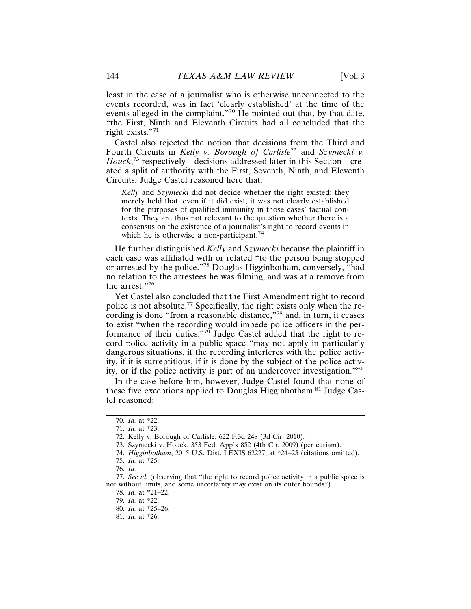least in the case of a journalist who is otherwise unconnected to the events recorded, was in fact 'clearly established' at the time of the events alleged in the complaint."<sup>70</sup> He pointed out that, by that date, "the First, Ninth and Eleventh Circuits had all concluded that the right exists."<sup>71</sup>

Castel also rejected the notion that decisions from the Third and Fourth Circuits in *Kelly v. Borough of Carlisle*72 and *Szymecki v. Houck*, 73 respectively—decisions addressed later in this Section—created a split of authority with the First, Seventh, Ninth, and Eleventh Circuits. Judge Castel reasoned here that:

*Kelly* and *Szymecki* did not decide whether the right existed: they merely held that, even if it did exist, it was not clearly established for the purposes of qualified immunity in those cases' factual contexts. They are thus not relevant to the question whether there is a consensus on the existence of a journalist's right to record events in which he is otherwise a non-participant.<sup>74</sup>

He further distinguished *Kelly* and *Szymecki* because the plaintiff in each case was affiliated with or related "to the person being stopped or arrested by the police."75 Douglas Higginbotham, conversely, "had no relation to the arrestees he was filming, and was at a remove from the arrest."76

Yet Castel also concluded that the First Amendment right to record police is not absolute.77 Specifically, the right exists only when the recording is done "from a reasonable distance,"78 and, in turn, it ceases to exist "when the recording would impede police officers in the performance of their duties."79 Judge Castel added that the right to record police activity in a public space "may not apply in particularly dangerous situations, if the recording interferes with the police activity, if it is surreptitious, if it is done by the subject of the police activity, or if the police activity is part of an undercover investigation."<sup>80</sup>

In the case before him, however, Judge Castel found that none of these five exceptions applied to Douglas Higginbotham.81 Judge Castel reasoned:

78. *Id.* at \*21–22.

<sup>70.</sup> *Id.* at \*22.

<sup>71.</sup> *Id.* at \*23.

<sup>72.</sup> Kelly v. Borough of Carlisle, 622 F.3d 248 (3d Cir. 2010).

<sup>73.</sup> Szymecki v. Houck, 353 Fed. App'x 852 (4th Cir. 2009) (per curiam).

<sup>74.</sup> *Higginbotham*, 2015 U.S. Dist. LEXIS 62227, at \*24–25 (citations omitted).

<sup>75.</sup> *Id.* at \*25.

<sup>76.</sup> *Id.*

<sup>77.</sup> *See id.* (observing that "the right to record police activity in a public space is not without limits, and some uncertainty may exist on its outer bounds").

<sup>79.</sup> *Id.* at \*22.

<sup>80.</sup> *Id.* at \*25–26.

<sup>81.</sup> *Id.* at \*26.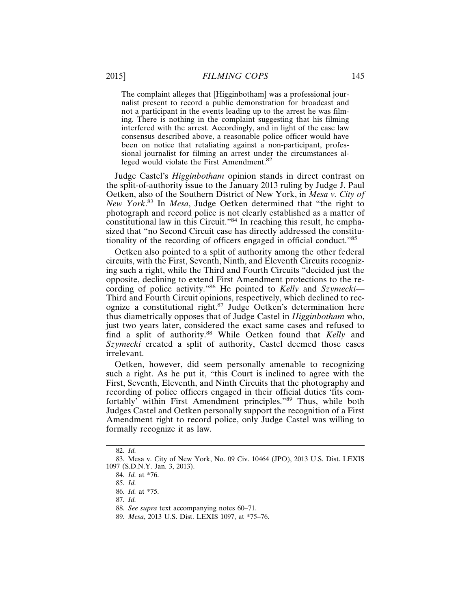The complaint alleges that [Higginbotham] was a professional journalist present to record a public demonstration for broadcast and not a participant in the events leading up to the arrest he was filming. There is nothing in the complaint suggesting that his filming interfered with the arrest. Accordingly, and in light of the case law consensus described above, a reasonable police officer would have been on notice that retaliating against a non-participant, professional journalist for filming an arrest under the circumstances alleged would violate the First Amendment.<sup>82</sup>

Judge Castel's *Higginbotham* opinion stands in direct contrast on the split-of-authority issue to the January 2013 ruling by Judge J. Paul Oetken, also of the Southern District of New York, in *Mesa v. City of New York*. 83 In *Mesa*, Judge Oetken determined that "the right to photograph and record police is not clearly established as a matter of constitutional law in this Circuit."84 In reaching this result, he emphasized that "no Second Circuit case has directly addressed the constitutionality of the recording of officers engaged in official conduct."<sup>85</sup>

Oetken also pointed to a split of authority among the other federal circuits, with the First, Seventh, Ninth, and Eleventh Circuits recognizing such a right, while the Third and Fourth Circuits "decided just the opposite, declining to extend First Amendment protections to the recording of police activity."86 He pointed to *Kelly* and *Szymecki*— Third and Fourth Circuit opinions, respectively, which declined to recognize a constitutional right.87 Judge Oetken's determination here thus diametrically opposes that of Judge Castel in *Higginbotham* who, just two years later, considered the exact same cases and refused to find a split of authority.<sup>88</sup> While Oetken found that *Kelly* and *Szymecki* created a split of authority, Castel deemed those cases irrelevant.

Oetken, however, did seem personally amenable to recognizing such a right. As he put it, "this Court is inclined to agree with the First, Seventh, Eleventh, and Ninth Circuits that the photography and recording of police officers engaged in their official duties 'fits comfortably' within First Amendment principles."89 Thus, while both Judges Castel and Oetken personally support the recognition of a First Amendment right to record police, only Judge Castel was willing to formally recognize it as law.

<sup>82.</sup> *Id.*

<sup>83.</sup> Mesa v. City of New York, No. 09 Civ. 10464 (JPO), 2013 U.S. Dist. LEXIS 1097 (S.D.N.Y. Jan. 3, 2013).

<sup>84.</sup> *Id.* at \*76.

<sup>85.</sup> *Id.*

<sup>86.</sup> *Id.* at \*75.

<sup>87.</sup> *Id.*

<sup>88.</sup> *See supra* text accompanying notes 60–71.

<sup>89.</sup> *Mesa*, 2013 U.S. Dist. LEXIS 1097, at \*75–76.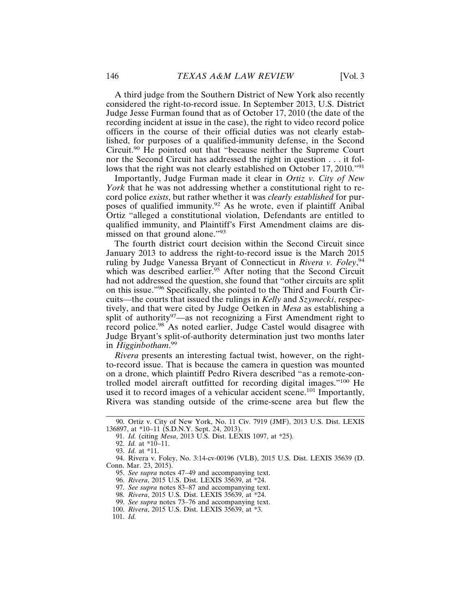A third judge from the Southern District of New York also recently considered the right-to-record issue. In September 2013, U.S. District Judge Jesse Furman found that as of October 17, 2010 (the date of the recording incident at issue in the case), the right to video record police officers in the course of their official duties was not clearly established, for purposes of a qualified-immunity defense, in the Second Circuit.90 He pointed out that "because neither the Supreme Court nor the Second Circuit has addressed the right in question . . . it follows that the right was not clearly established on October 17, 2010."<sup>91</sup>

Importantly, Judge Furman made it clear in *Ortiz v. City of New York* that he was not addressing whether a constitutional right to record police *exists*, but rather whether it was *clearly established* for purposes of qualified immunity.<sup>92</sup> As he wrote, even if plaintiff Anibal Ortiz "alleged a constitutional violation, Defendants are entitled to qualified immunity, and Plaintiff's First Amendment claims are dismissed on that ground alone."<sup>93</sup>

The fourth district court decision within the Second Circuit since January 2013 to address the right-to-record issue is the March 2015 ruling by Judge Vanessa Bryant of Connecticut in *Rivera v. Foley*, 94 which was described earlier.<sup>95</sup> After noting that the Second Circuit had not addressed the question, she found that "other circuits are split on this issue."96 Specifically, she pointed to the Third and Fourth Circuits—the courts that issued the rulings in *Kelly* and *Szymecki*, respectively, and that were cited by Judge Oetken in *Mesa* as establishing a split of authority<sup>97</sup>—as not recognizing a First Amendment right to record police.<sup>98</sup> As noted earlier, Judge Castel would disagree with Judge Bryant's split-of-authority determination just two months later in *Higginbotham*. 99

*Rivera* presents an interesting factual twist, however, on the rightto-record issue. That is because the camera in question was mounted on a drone, which plaintiff Pedro Rivera described "as a remote-controlled model aircraft outfitted for recording digital images."100 He used it to record images of a vehicular accident scene.<sup>101</sup> Importantly, Rivera was standing outside of the crime-scene area but flew the

<sup>90.</sup> Ortiz v. City of New York, No. 11 Civ. 7919 (JMF), 2013 U.S. Dist. LEXIS 136897, at \*10–11 (S.D.N.Y. Sept. 24, 2013).

<sup>91.</sup> *Id.* (citing *Mesa*, 2013 U.S. Dist. LEXIS 1097, at \*25).

<sup>92.</sup> *Id.* at \*10–11.

<sup>93.</sup> *Id.* at \*11.

<sup>94.</sup> Rivera v. Foley, No. 3:14-cv-00196 (VLB), 2015 U.S. Dist. LEXIS 35639 (D. Conn. Mar. 23, 2015).

<sup>95.</sup> *See supra* notes 47–49 and accompanying text.

<sup>96.</sup> *Rivera*, 2015 U.S. Dist. LEXIS 35639, at \*24.

<sup>97.</sup> *See supra* notes 83–87 and accompanying text.

<sup>98.</sup> *Rivera*, 2015 U.S. Dist. LEXIS 35639, at \*24.

<sup>99.</sup> *See supra* notes 73–76 and accompanying text.

<sup>100.</sup> *Rivera*, 2015 U.S. Dist. LEXIS 35639, at \*3.

<sup>101.</sup> *Id.*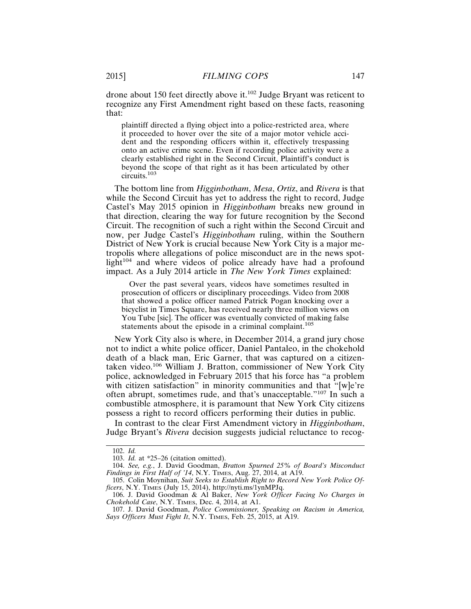drone about 150 feet directly above it.102 Judge Bryant was reticent to recognize any First Amendment right based on these facts, reasoning that:

plaintiff directed a flying object into a police-restricted area, where it proceeded to hover over the site of a major motor vehicle accident and the responding officers within it, effectively trespassing onto an active crime scene. Even if recording police activity were a clearly established right in the Second Circuit, Plaintiff's conduct is beyond the scope of that right as it has been articulated by other circuits.103

The bottom line from *Higginbotham*, *Mesa*, *Orti*z, and *Rivera* is that while the Second Circuit has yet to address the right to record, Judge Castel's May 2015 opinion in *Higginbotham* breaks new ground in that direction, clearing the way for future recognition by the Second Circuit. The recognition of such a right within the Second Circuit and now, per Judge Castel's *Higginbotham* ruling, within the Southern District of New York is crucial because New York City is a major metropolis where allegations of police misconduct are in the news spotlight $104$  and where videos of police already have had a profound impact. As a July 2014 article in *The New York Times* explained:

Over the past several years, videos have sometimes resulted in prosecution of officers or disciplinary proceedings. Video from 2008 that showed a police officer named Patrick Pogan knocking over a bicyclist in Times Square, has received nearly three million views on You Tube [sic]. The officer was eventually convicted of making false statements about the episode in a criminal complaint.<sup>105</sup>

New York City also is where, in December 2014, a grand jury chose not to indict a white police officer, Daniel Pantaleo, in the chokehold death of a black man, Eric Garner, that was captured on a citizentaken video.106 William J. Bratton, commissioner of New York City police, acknowledged in February 2015 that his force has "a problem with citizen satisfaction" in minority communities and that "[w]e're often abrupt, sometimes rude, and that's unacceptable."107 In such a combustible atmosphere, it is paramount that New York City citizens possess a right to record officers performing their duties in public.

In contrast to the clear First Amendment victory in *Higginbotham*, Judge Bryant's *Rivera* decision suggests judicial reluctance to recog-

<sup>102.</sup> *Id.*

<sup>103.</sup> *Id.* at \*25–26 (citation omitted).

<sup>104.</sup> *See, e.g.*, J. David Goodman, *Bratton Spurned 25% of Board's Misconduct Findings in First Half of '14*, N.Y. TIMES, Aug. 27, 2014, at A19.

<sup>105.</sup> Colin Moynihan, *Suit Seeks to Establish Right to Record New York Police Officers*, N.Y. TIMES (July 15, 2014), http://nyti.ms/1ynMPJq.

<sup>106.</sup> J. David Goodman & Al Baker, *New York Officer Facing No Charges in Chokehold Case*, N.Y. TIMES, Dec. 4, 2014, at A1.

<sup>107.</sup> J. David Goodman, *Police Commissioner, Speaking on Racism in America, Says Officers Must Fight It*, N.Y. TIMES, Feb. 25, 2015, at A19.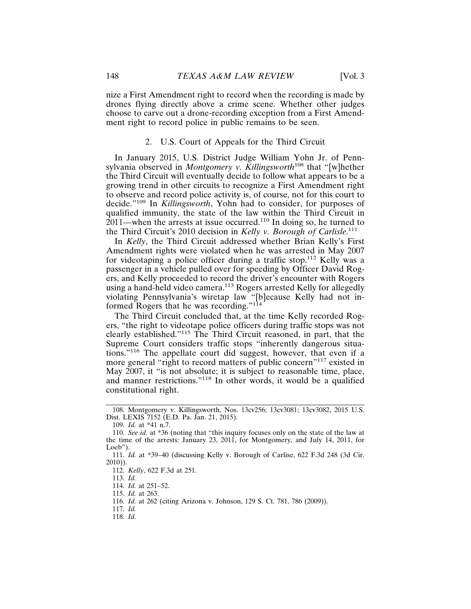nize a First Amendment right to record when the recording is made by drones flying directly above a crime scene. Whether other judges choose to carve out a drone-recording exception from a First Amendment right to record police in public remains to be seen.

#### 2. U.S. Court of Appeals for the Third Circuit

In January 2015, U.S. District Judge William Yohn Jr. of Pennsylvania observed in *Montgomery v. Killingsworth*108 that "[w]hether the Third Circuit will eventually decide to follow what appears to be a growing trend in other circuits to recognize a First Amendment right to observe and record police activity is, of course, not for this court to decide."109 In *Killingsworth*, Yohn had to consider, for purposes of qualified immunity, the state of the law within the Third Circuit in  $2011$ —when the arrests at issue occurred.<sup>110</sup> In doing so, he turned to the Third Circuit's 2010 decision in *Kelly v. Borough of Carlisle*. 111

In *Kelly*, the Third Circuit addressed whether Brian Kelly's First Amendment rights were violated when he was arrested in May 2007 for videotaping a police officer during a traffic stop.112 Kelly was a passenger in a vehicle pulled over for speeding by Officer David Rogers, and Kelly proceeded to record the driver's encounter with Rogers using a hand-held video camera.<sup>113</sup> Rogers arrested Kelly for allegedly violating Pennsylvania's wiretap law "[b]ecause Kelly had not informed Rogers that he was recording."<sup>114</sup>

The Third Circuit concluded that, at the time Kelly recorded Rogers, "the right to videotape police officers during traffic stops was not clearly established."115 The Third Circuit reasoned, in part, that the Supreme Court considers traffic stops "inherently dangerous situations."116 The appellate court did suggest, however, that even if a more general "right to record matters of public concern"117 existed in May 2007, it "is not absolute; it is subject to reasonable time, place, and manner restrictions."118 In other words, it would be a qualified constitutional right.

112. *Kelly*, 622 F.3d at 251.

118. *Id.*

<sup>108.</sup> Montgomery v. Killingsworth, Nos. 13cv256; 13cv3081; 13cv3082, 2015 U.S. Dist. LEXIS 7152 (E.D. Pa. Jan. 21, 2015).

<sup>109.</sup> *Id.* at \*41 n.7.

<sup>110.</sup> *See id.* at \*36 (noting that "this inquiry focuses only on the state of the law at the time of the arrests: January 23, 2011, for Montgomery, and July 14, 2011, for Loeb").

<sup>111.</sup> *Id.* at \*39–40 (discussing Kelly v. Borough of Carlise, 622 F.3d 248 (3d Cir. 2010)).

<sup>113.</sup> *Id.*

<sup>114.</sup> *Id.* at 251–52.

<sup>115.</sup> *Id.* at 263.

<sup>116.</sup> *Id.* at 262 (citing Arizona v. Johnson, 129 S. Ct. 781, 786 (2009)).

<sup>117.</sup> *Id.*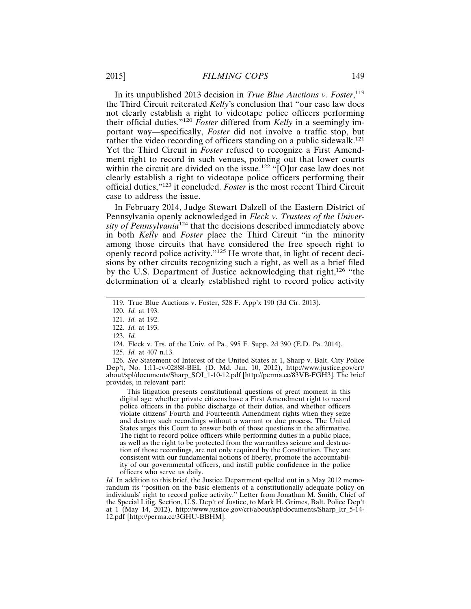In its unpublished 2013 decision in *True Blue Auctions v. Foster*, 119 the Third Circuit reiterated *Kelly*'s conclusion that "our case law does not clearly establish a right to videotape police officers performing their official duties."<sup>120</sup> *Foster* differed from *Kelly* in a seemingly important way—specifically, *Foster* did not involve a traffic stop, but rather the video recording of officers standing on a public sidewalk.<sup>121</sup> Yet the Third Circuit in *Foster* refused to recognize a First Amendment right to record in such venues, pointing out that lower courts within the circuit are divided on the issue.<sup>122</sup> " $[O]$ ur case law does not clearly establish a right to videotape police officers performing their official duties,"123 it concluded. *Foster* is the most recent Third Circuit case to address the issue.

In February 2014, Judge Stewart Dalzell of the Eastern District of Pennsylvania openly acknowledged in *Fleck v. Trustees of the University of Pennsylvania*124 that the decisions described immediately above in both *Kelly* and *Foster* place the Third Circuit "in the minority among those circuits that have considered the free speech right to openly record police activity."125 He wrote that, in light of recent decisions by other circuits recognizing such a right, as well as a brief filed by the U.S. Department of Justice acknowledging that right,<sup>126</sup> "the determination of a clearly established right to record police activity

123. *Id.*

126. *See* Statement of Interest of the United States at 1, Sharp v. Balt. City Police Dep't, No. 1:11-cv-02888-BEL (D. Md. Jan. 10, 2012), http://www.justice.gov/crt/ about/spl/documents/Sharp\_SOI\_1-10-12.pdf [http://perma.cc/83VB-FGH3]. The brief provides, in relevant part:

This litigation presents constitutional questions of great moment in this digital age: whether private citizens have a First Amendment right to record police officers in the public discharge of their duties, and whether officers violate citizens' Fourth and Fourteenth Amendment rights when they seize and destroy such recordings without a warrant or due process. The United States urges this Court to answer both of those questions in the affirmative. The right to record police officers while performing duties in a public place, as well as the right to be protected from the warrantless seizure and destruction of those recordings, are not only required by the Constitution. They are consistent with our fundamental notions of liberty, promote the accountability of our governmental officers, and instill public confidence in the police officers who serve us daily.

*Id.* In addition to this brief, the Justice Department spelled out in a May 2012 memorandum its "position on the basic elements of a constitutionally adequate policy on individuals' right to record police activity." Letter from Jonathan M. Smith, Chief of the Special Litig. Section, U.S. Dep't of Justice, to Mark H. Grimes, Balt. Police Dep't at 1 (May 14, 2012), http://www.justice.gov/crt/about/spl/documents/Sharp\_ltr\_5-14- 12.pdf [http://perma.cc/3GHU-BBHM].

<sup>119.</sup> True Blue Auctions v. Foster, 528 F. App'x 190 (3d Cir. 2013).

<sup>120.</sup> *Id.* at 193.

<sup>121.</sup> *Id.* at 192.

<sup>122.</sup> *Id.* at 193.

<sup>124.</sup> Fleck v. Trs. of the Univ. of Pa., 995 F. Supp. 2d 390 (E.D. Pa. 2014).

<sup>125.</sup> *Id.* at 407 n.13.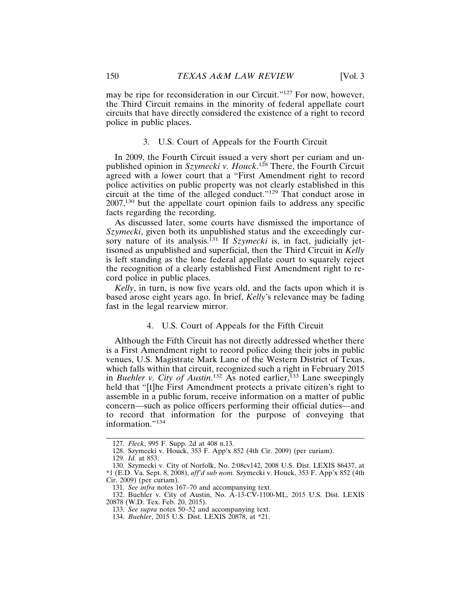may be ripe for reconsideration in our Circuit."127 For now, however, the Third Circuit remains in the minority of federal appellate court circuits that have directly considered the existence of a right to record police in public places.

#### 3. U.S. Court of Appeals for the Fourth Circuit

In 2009, the Fourth Circuit issued a very short per curiam and unpublished opinion in *Szymecki v. Houck*. 128 There, the Fourth Circuit agreed with a lower court that a "First Amendment right to record police activities on public property was not clearly established in this circuit at the time of the alleged conduct."129 That conduct arose in 2007,130 but the appellate court opinion fails to address any specific facts regarding the recording.

As discussed later, some courts have dismissed the importance of *Szymecki*, given both its unpublished status and the exceedingly curscymecki, given cour in angles and the *Szymecki* is, in fact, judicially jettisoned as unpublished and superficial, then the Third Circuit in *Kelly* is left standing as the lone federal appellate court to squarely reject the recognition of a clearly established First Amendment right to record police in public places.

*Kelly*, in turn, is now five years old, and the facts upon which it is based arose eight years ago. In brief, *Kelly*'s relevance may be fading fast in the legal rearview mirror.

#### 4. U.S. Court of Appeals for the Fifth Circuit

Although the Fifth Circuit has not directly addressed whether there is a First Amendment right to record police doing their jobs in public venues, U.S. Magistrate Mark Lane of the Western District of Texas, which falls within that circuit, recognized such a right in February 2015 in *Buehler v. City of Austin*.<sup>132</sup> As noted earlier,<sup>133</sup> Lane sweepingly held that "[t]he First Amendment protects a private citizen's right to assemble in a public forum, receive information on a matter of public concern—such as police officers performing their official duties—and to record that information for the purpose of conveying that information."<sup>134</sup>

<sup>127.</sup> *Fleck*, 995 F. Supp. 2d at 408 n.13.

<sup>128.</sup> Szymecki v. Houck, 353 F. App'x 852 (4th Cir. 2009) (per curiam).

<sup>129.</sup> *Id.* at 853.

<sup>130.</sup> Szymecki v. City of Norfolk, No. 2:08cv142, 2008 U.S. Dist. LEXIS 86437, at \*1 (E.D. Va. Sept. 8, 2008), *aff'd sub nom.* Szymecki v. Houck, 353 F. App'x 852 (4th Cir. 2009) (per curiam).

<sup>131.</sup> *See infra* notes 167–70 and accompanying text.

<sup>132.</sup> Buehler v. City of Austin, No. A-13-CV-1100-ML, 2015 U.S. Dist. LEXIS 20878 (W.D. Tex. Feb. 20, 2015).

<sup>133.</sup> *See supra* notes 50–52 and accompanying text.

<sup>134.</sup> *Buehler*, 2015 U.S. Dist. LEXIS 20878, at \*21.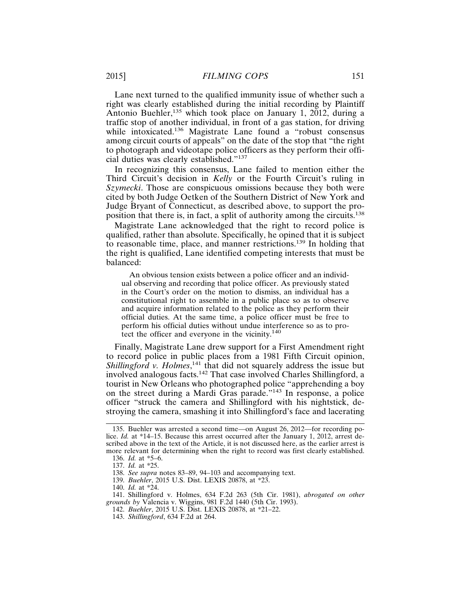Lane next turned to the qualified immunity issue of whether such a right was clearly established during the initial recording by Plaintiff Antonio Buehler,<sup>135</sup> which took place on January 1, 2012, during a traffic stop of another individual, in front of a gas station, for driving while intoxicated.136 Magistrate Lane found a "robust consensus among circuit courts of appeals" on the date of the stop that "the right to photograph and videotape police officers as they perform their official duties was clearly established."<sup>137</sup>

In recognizing this consensus, Lane failed to mention either the Third Circuit's decision in *Kelly* or the Fourth Circuit's ruling in *Szymecki*. Those are conspicuous omissions because they both were cited by both Judge Oetken of the Southern District of New York and Judge Bryant of Connecticut, as described above, to support the proposition that there is, in fact, a split of authority among the circuits.<sup>138</sup>

Magistrate Lane acknowledged that the right to record police is qualified, rather than absolute. Specifically, he opined that it is subject to reasonable time, place, and manner restrictions.139 In holding that the right is qualified, Lane identified competing interests that must be balanced:

An obvious tension exists between a police officer and an individual observing and recording that police officer. As previously stated in the Court's order on the motion to dismiss, an individual has a constitutional right to assemble in a public place so as to observe and acquire information related to the police as they perform their official duties. At the same time, a police officer must be free to perform his official duties without undue interference so as to protect the officer and everyone in the vicinity.<sup>140</sup>

Finally, Magistrate Lane drew support for a First Amendment right to record police in public places from a 1981 Fifth Circuit opinion, Shillingford v. Holmes,<sup>141</sup> that did not squarely address the issue but involved analogous facts.142 That case involved Charles Shillingford, a tourist in New Orleans who photographed police "apprehending a boy on the street during a Mardi Gras parade."143 In response, a police officer "struck the camera and Shillingford with his nightstick, destroying the camera, smashing it into Shillingford's face and lacerating

<sup>135.</sup> Buehler was arrested a second time—on August 26, 2012—for recording police. *Id.* at \*14–15. Because this arrest occurred after the January 1, 2012, arrest described above in the text of the Article, it is not discussed here, as the earlier arrest is more relevant for determining when the right to record was first clearly established.

<sup>136.</sup> *Id.* at \*5–6.

<sup>137.</sup> *Id.* at \*25.

<sup>138.</sup> *See supra* notes 83–89, 94–103 and accompanying text.

<sup>139.</sup> *Buehler*, 2015 U.S. Dist. LEXIS 20878, at \*23.

<sup>140.</sup> *Id.* at \*24.

<sup>141.</sup> Shillingford v. Holmes, 634 F.2d 263 (5th Cir. 1981), *abrogated on other grounds by* Valencia v. Wiggins, 981 F.2d 1440 (5th Cir. 1993).

<sup>142.</sup> *Buehler*, 2015 U.S. Dist. LEXIS 20878, at \*21–22.

<sup>143.</sup> *Shillingford*, 634 F.2d at 264.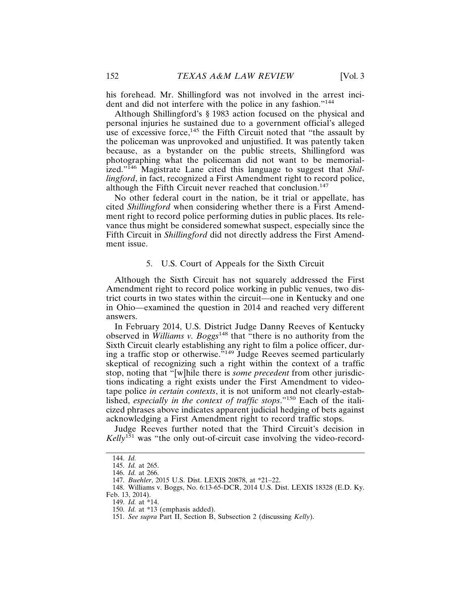his forehead. Mr. Shillingford was not involved in the arrest incident and did not interfere with the police in any fashion."<sup>144</sup>

Although Shillingford's § 1983 action focused on the physical and personal injuries he sustained due to a government official's alleged use of excessive force, $145$  the Fifth Circuit noted that "the assault by the policeman was unprovoked and unjustified. It was patently taken because, as a bystander on the public streets, Shillingford was photographing what the policeman did not want to be memorialized."146 Magistrate Lane cited this language to suggest that *Shillingford*, in fact, recognized a First Amendment right to record police, although the Fifth Circuit never reached that conclusion.<sup>147</sup>

No other federal court in the nation, be it trial or appellate, has cited *Shillingford* when considering whether there is a First Amendment right to record police performing duties in public places. Its relevance thus might be considered somewhat suspect, especially since the Fifth Circuit in *Shillingford* did not directly address the First Amendment issue.

#### 5. U.S. Court of Appeals for the Sixth Circuit

Although the Sixth Circuit has not squarely addressed the First Amendment right to record police working in public venues, two district courts in two states within the circuit—one in Kentucky and one in Ohio—examined the question in 2014 and reached very different answers.

In February 2014, U.S. District Judge Danny Reeves of Kentucky observed in *Williams v. Boggs*148 that "there is no authority from the Sixth Circuit clearly establishing any right to film a police officer, during a traffic stop or otherwise."149 Judge Reeves seemed particularly skeptical of recognizing such a right within the context of a traffic stop, noting that "[w]hile there is *some precedent* from other jurisdictions indicating a right exists under the First Amendment to videotape police *in certain contexts*, it is not uniform and not clearly-established, *especially in the context of traffic stops*."150 Each of the italicized phrases above indicates apparent judicial hedging of bets against acknowledging a First Amendment right to record traffic stops.

Judge Reeves further noted that the Third Circuit's decision in *Kelly*151 was "the only out-of-circuit case involving the video-record-

<sup>144.</sup> *Id.*

<sup>145.</sup> *Id.* at 265.

<sup>146.</sup> *Id.* at 266.

<sup>147.</sup> *Buehler*, 2015 U.S. Dist. LEXIS 20878, at \*21–22.

<sup>148.</sup> Williams v. Boggs, No. 6:13-65-DCR, 2014 U.S. Dist. LEXIS 18328 (E.D. Ky. Feb. 13, 2014).

<sup>149.</sup> *Id.* at \*14.

<sup>150.</sup> *Id.* at \*13 (emphasis added).

<sup>151.</sup> *See supra* Part II, Section B, Subsection 2 (discussing *Kelly*).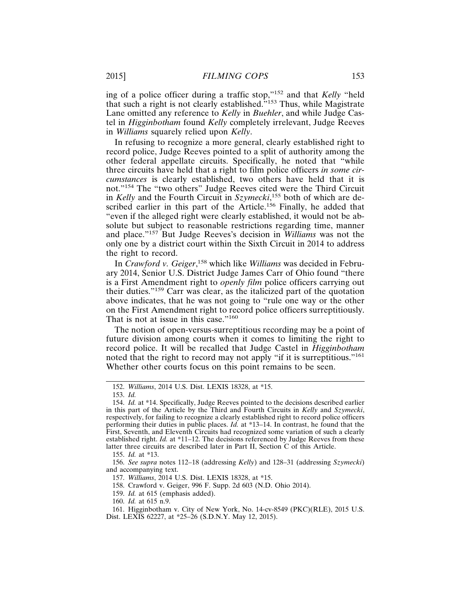ing of a police officer during a traffic stop,"152 and that *Kelly* "held that such a right is not clearly established."153 Thus, while Magistrate Lane omitted any reference to *Kelly* in *Buehler*, and while Judge Castel in *Higginbotham* found *Kelly* completely irrelevant, Judge Reeves in *Williams* squarely relied upon *Kelly*.

In refusing to recognize a more general, clearly established right to record police, Judge Reeves pointed to a split of authority among the other federal appellate circuits. Specifically, he noted that "while three circuits have held that a right to film police officers *in some circumstances* is clearly established, two others have held that it is not."154 The "two others" Judge Reeves cited were the Third Circuit in *Kelly* and the Fourth Circuit in *Szymecki*, 155 both of which are described earlier in this part of the Article.<sup>156</sup> Finally, he added that "even if the alleged right were clearly established, it would not be absolute but subject to reasonable restrictions regarding time, manner and place."157 But Judge Reeves's decision in *Williams* was not the only one by a district court within the Sixth Circuit in 2014 to address the right to record.

In *Crawford v. Geiger*, 158 which like *Williams* was decided in February 2014, Senior U.S. District Judge James Carr of Ohio found "there is a First Amendment right to *openly film* police officers carrying out their duties."159 Carr was clear, as the italicized part of the quotation above indicates, that he was not going to "rule one way or the other on the First Amendment right to record police officers surreptitiously. That is not at issue in this case."<sup>160</sup>

The notion of open-versus-surreptitious recording may be a point of future division among courts when it comes to limiting the right to record police. It will be recalled that Judge Castel in *Higginbotham* noted that the right to record may not apply "if it is surreptitious."<sup>161</sup> Whether other courts focus on this point remains to be seen.

155. *Id.* at \*13.

158. Crawford v. Geiger, 996 F. Supp. 2d 603 (N.D. Ohio 2014).

<sup>152.</sup> *Williams*, 2014 U.S. Dist. LEXIS 18328, at \*15.

<sup>153.</sup> *Id.*

<sup>154.</sup> *Id.* at \*14. Specifically, Judge Reeves pointed to the decisions described earlier in this part of the Article by the Third and Fourth Circuits in *Kelly* and *Szymecki*, respectively, for failing to recognize a clearly established right to record police officers performing their duties in public places. *Id.* at \*13–14. In contrast, he found that the First, Seventh, and Eleventh Circuits had recognized some variation of such a clearly established right. *Id.* at \*11–12. The decisions referenced by Judge Reeves from these latter three circuits are described later in Part II, Section C of this Article.

<sup>156.</sup> *See supra* notes 112–18 (addressing *Kelly*) and 128–31 (addressing *Szymecki*) and accompanying text.

<sup>157.</sup> *Williams*, 2014 U.S. Dist. LEXIS 18328, at \*15.

<sup>159.</sup> *Id.* at 615 (emphasis added).

<sup>160.</sup> *Id.* at 615 n.9.

<sup>161.</sup> Higginbotham v. City of New York, No. 14-cv-8549 (PKC)(RLE), 2015 U.S. Dist. LEXIS 62227, at \*25–26 (S.D.N.Y. May 12, 2015).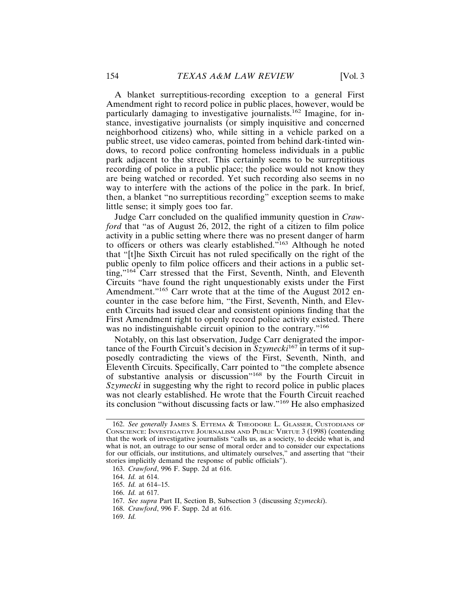A blanket surreptitious-recording exception to a general First Amendment right to record police in public places, however, would be particularly damaging to investigative journalists.162 Imagine, for instance, investigative journalists (or simply inquisitive and concerned neighborhood citizens) who, while sitting in a vehicle parked on a public street, use video cameras, pointed from behind dark-tinted windows, to record police confronting homeless individuals in a public park adjacent to the street. This certainly seems to be surreptitious recording of police in a public place; the police would not know they are being watched or recorded. Yet such recording also seems in no way to interfere with the actions of the police in the park. In brief, then, a blanket "no surreptitious recording" exception seems to make little sense; it simply goes too far.

Judge Carr concluded on the qualified immunity question in *Crawford* that "as of August 26, 2012, the right of a citizen to film police activity in a public setting where there was no present danger of harm to officers or others was clearly established."163 Although he noted that "[t]he Sixth Circuit has not ruled specifically on the right of the public openly to film police officers and their actions in a public setting,"164 Carr stressed that the First, Seventh, Ninth, and Eleventh Circuits "have found the right unquestionably exists under the First Amendment."<sup>165</sup> Carr wrote that at the time of the August 2012 encounter in the case before him, "the First, Seventh, Ninth, and Eleventh Circuits had issued clear and consistent opinions finding that the First Amendment right to openly record police activity existed. There was no indistinguishable circuit opinion to the contrary."<sup>166</sup>

Notably, on this last observation, Judge Carr denigrated the importance of the Fourth Circuit's decision in *Szymecki*167 in terms of it supposedly contradicting the views of the First, Seventh, Ninth, and Eleventh Circuits. Specifically, Carr pointed to "the complete absence of substantive analysis or discussion"168 by the Fourth Circuit in *Szymecki* in suggesting why the right to record police in public places was not clearly established. He wrote that the Fourth Circuit reached its conclusion "without discussing facts or law."169 He also emphasized

<sup>162.</sup> *See generally* JAMES S. ETTEMA & THEODORE L. GLASSER, CUSTODIANS OF CONSCIENCE: INVESTIGATIVE JOURNALISM AND PUBLIC VIRTUE 3 (1998) (contending that the work of investigative journalists "calls us, as a society, to decide what is, and what is not, an outrage to our sense of moral order and to consider our expectations for our officials, our institutions, and ultimately ourselves," and asserting that "their stories implicitly demand the response of public officials").

<sup>163.</sup> *Crawford*, 996 F. Supp. 2d at 616.

<sup>164.</sup> *Id.* at 614.

<sup>165.</sup> *Id.* at 614–15.

<sup>166.</sup> *Id.* at 617.

<sup>167.</sup> *See supra* Part II, Section B, Subsection 3 (discussing *Szymecki*).

<sup>168.</sup> *Crawford*, 996 F. Supp. 2d at 616.

<sup>169.</sup> *Id.*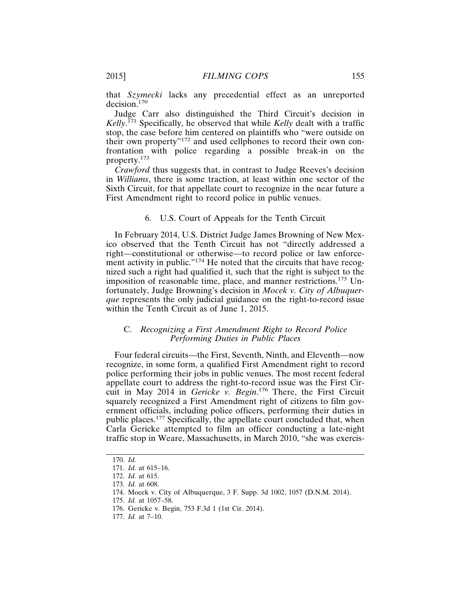that *Szymecki* lacks any precedential effect as an unreported decision.<sup>170</sup>

Judge Carr also distinguished the Third Circuit's decision in *Kelly*. 171 Specifically, he observed that while *Kelly* dealt with a traffic stop, the case before him centered on plaintiffs who "were outside on their own property"172 and used cellphones to record their own confrontation with police regarding a possible break-in on the property.<sup>173</sup>

*Crawford* thus suggests that, in contrast to Judge Reeves's decision in *Williams*, there is some traction, at least within one sector of the Sixth Circuit, for that appellate court to recognize in the near future a First Amendment right to record police in public venues.

#### 6. U.S. Court of Appeals for the Tenth Circuit

In February 2014, U.S. District Judge James Browning of New Mexico observed that the Tenth Circuit has not "directly addressed a right—constitutional or otherwise—to record police or law enforcement activity in public."<sup>174</sup> He noted that the circuits that have recognized such a right had qualified it, such that the right is subject to the imposition of reasonable time, place, and manner restrictions.175 Unfortunately, Judge Browning's decision in *Mocek v. City of Albuquerque* represents the only judicial guidance on the right-to-record issue within the Tenth Circuit as of June 1, 2015.

# C. *Recognizing a First Amendment Right to Record Police Performing Duties in Public Places*

Four federal circuits—the First, Seventh, Ninth, and Eleventh—now recognize, in some form, a qualified First Amendment right to record police performing their jobs in public venues. The most recent federal appellate court to address the right-to-record issue was the First Circuit in May 2014 in *Gericke v. Begin*. 176 There, the First Circuit squarely recognized a First Amendment right of citizens to film government officials, including police officers, performing their duties in public places.177 Specifically, the appellate court concluded that, when Carla Gericke attempted to film an officer conducting a late-night traffic stop in Weare, Massachusetts, in March 2010, "she was exercis-

<sup>170.</sup> *Id.*

<sup>171.</sup> *Id.* at 615–16.

<sup>172.</sup> *Id.* at 615.

<sup>173.</sup> *Id.* at 608.

<sup>174.</sup> Mocek v. City of Albuquerque, 3 F. Supp. 3d 1002, 1057 (D.N.M. 2014).

<sup>175.</sup> *Id.* at 1057–58.

<sup>176.</sup> Gericke v. Begin, 753 F.3d 1 (1st Cir. 2014).

<sup>177.</sup> *Id.* at 7–10.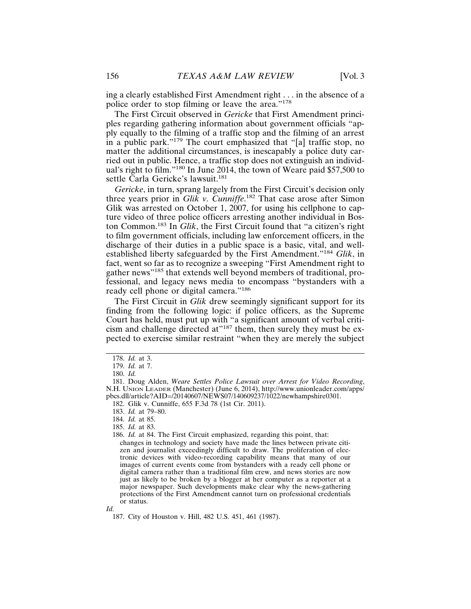ing a clearly established First Amendment right . . . in the absence of a police order to stop filming or leave the area."<sup>178</sup>

The First Circuit observed in *Gericke* that First Amendment principles regarding gathering information about government officials "apply equally to the filming of a traffic stop and the filming of an arrest in a public park."<sup>179</sup> The court emphasized that "[a] traffic stop, no matter the additional circumstances, is inescapably a police duty carried out in public. Hence, a traffic stop does not extinguish an individual's right to film."180 In June 2014, the town of Weare paid \$57,500 to settle Carla Gericke's lawsuit.<sup>181</sup>

*Gericke*, in turn, sprang largely from the First Circuit's decision only three years prior in *Glik v. Cunniffe*. 182 That case arose after Simon Glik was arrested on October 1, 2007, for using his cellphone to capture video of three police officers arresting another individual in Boston Common.183 In *Glik*, the First Circuit found that "a citizen's right to film government officials, including law enforcement officers, in the discharge of their duties in a public space is a basic, vital, and wellestablished liberty safeguarded by the First Amendment."<sup>184</sup> *Glik*, in fact, went so far as to recognize a sweeping "First Amendment right to gather news"185 that extends well beyond members of traditional, professional, and legacy news media to encompass "bystanders with a ready cell phone or digital camera."<sup>186</sup>

The First Circuit in *Glik* drew seemingly significant support for its finding from the following logic: if police officers, as the Supreme Court has held, must put up with "a significant amount of verbal criticism and challenge directed at"<sup>187</sup> them, then surely they must be expected to exercise similar restraint "when they are merely the subject

*Id.*

<sup>178.</sup> *Id.* at 3.

<sup>179.</sup> *Id.* at 7.

<sup>180.</sup> *Id.*

<sup>181.</sup> Doug Alden, *Weare Settles Police Lawsuit over Arrest for Video Recording*, N.H. UNION LEADER (Manchester) (June 6, 2014), http://www.unionleader.com/apps/ pbcs.dll/article?AID=/20140607/NEWS07/140609237/1022/newhampshire0301.

<sup>182.</sup> Glik v. Cunniffe, 655 F.3d 78 (1st Cir. 2011).

<sup>183.</sup> *Id.* at 79–80.

<sup>184.</sup> *Id.* at 85.

<sup>185.</sup> *Id.* at 83.

<sup>186.</sup> *Id.* at 84. The First Circuit emphasized, regarding this point, that:

changes in technology and society have made the lines between private citizen and journalist exceedingly difficult to draw. The proliferation of electronic devices with video-recording capability means that many of our images of current events come from bystanders with a ready cell phone or digital camera rather than a traditional film crew, and news stories are now just as likely to be broken by a blogger at her computer as a reporter at a major newspaper. Such developments make clear why the news-gathering protections of the First Amendment cannot turn on professional credentials or status.

<sup>187.</sup> City of Houston v. Hill, 482 U.S. 451, 461 (1987).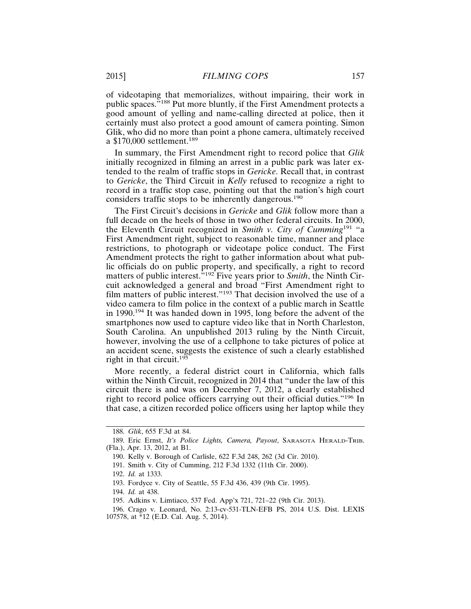of videotaping that memorializes, without impairing, their work in public spaces."188 Put more bluntly, if the First Amendment protects a good amount of yelling and name-calling directed at police, then it certainly must also protect a good amount of camera pointing. Simon Glik, who did no more than point a phone camera, ultimately received a \$170,000 settlement.<sup>189</sup>

In summary, the First Amendment right to record police that *Glik* initially recognized in filming an arrest in a public park was later extended to the realm of traffic stops in *Gericke*. Recall that, in contrast to *Gericke*, the Third Circuit in *Kelly* refused to recognize a right to record in a traffic stop case, pointing out that the nation's high court considers traffic stops to be inherently dangerous.<sup>190</sup>

The First Circuit's decisions in *Gericke* and *Glik* follow more than a full decade on the heels of those in two other federal circuits. In 2000, the Eleventh Circuit recognized in *Smith v. City of Cumming*191 "a First Amendment right, subject to reasonable time, manner and place restrictions, to photograph or videotape police conduct. The First Amendment protects the right to gather information about what public officials do on public property, and specifically, a right to record matters of public interest."192 Five years prior to *Smith*, the Ninth Circuit acknowledged a general and broad "First Amendment right to film matters of public interest."<sup>193</sup> That decision involved the use of a video camera to film police in the context of a public march in Seattle in 1990.194 It was handed down in 1995, long before the advent of the smartphones now used to capture video like that in North Charleston, South Carolina. An unpublished 2013 ruling by the Ninth Circuit, however, involving the use of a cellphone to take pictures of police at an accident scene, suggests the existence of such a clearly established right in that circuit.<sup>195</sup>

More recently, a federal district court in California, which falls within the Ninth Circuit, recognized in 2014 that "under the law of this circuit there is and was on December 7, 2012, a clearly established right to record police officers carrying out their official duties."196 In that case, a citizen recorded police officers using her laptop while they

<sup>188.</sup> *Glik*, 655 F.3d at 84.

<sup>189.</sup> Eric Ernst, *It's Police Lights, Camera, Payout*, SARASOTA HERALD-TRIB. (Fla.), Apr. 13, 2012, at B1.

<sup>190.</sup> Kelly v. Borough of Carlisle, 622 F.3d 248, 262 (3d Cir. 2010).

<sup>191.</sup> Smith v. City of Cumming, 212 F.3d 1332 (11th Cir. 2000).

<sup>192.</sup> *Id.* at 1333.

<sup>193.</sup> Fordyce v. City of Seattle, 55 F.3d 436, 439 (9th Cir. 1995).

<sup>194.</sup> *Id.* at 438.

<sup>195.</sup> Adkins v. Limtiaco, 537 Fed. App'x 721, 721–22 (9th Cir. 2013).

<sup>196.</sup> Crago v. Leonard, No. 2:13-cv-531-TLN-EFB PS, 2014 U.S. Dist. LEXIS 107578, at \*12 (E.D. Cal. Aug. 5, 2014).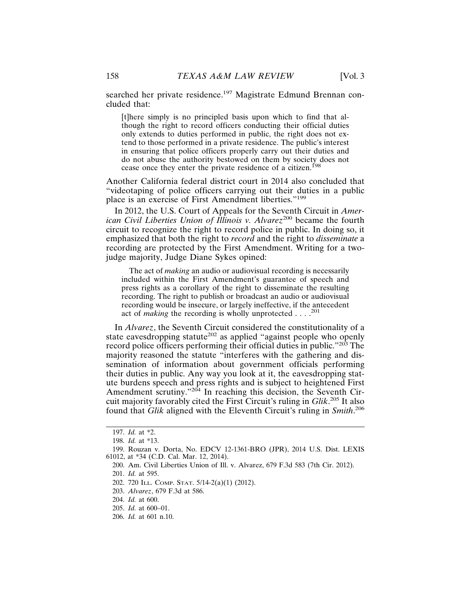searched her private residence.<sup>197</sup> Magistrate Edmund Brennan concluded that:

[t]here simply is no principled basis upon which to find that although the right to record officers conducting their official duties only extends to duties performed in public, the right does not extend to those performed in a private residence. The public's interest in ensuring that police officers properly carry out their duties and do not abuse the authority bestowed on them by society does not cease once they enter the private residence of a citizen.<sup>198</sup>

Another California federal district court in 2014 also concluded that "videotaping of police officers carrying out their duties in a public place is an exercise of First Amendment liberties."<sup>199</sup>

In 2012, the U.S. Court of Appeals for the Seventh Circuit in *American Civil Liberties Union of Illinois v. Alvarez*<sup>200</sup> became the fourth circuit to recognize the right to record police in public. In doing so, it emphasized that both the right to *record* and the right to *disseminate* a recording are protected by the First Amendment. Writing for a twojudge majority, Judge Diane Sykes opined:

The act of *making* an audio or audiovisual recording is necessarily included within the First Amendment's guarantee of speech and press rights as a corollary of the right to disseminate the resulting recording. The right to publish or broadcast an audio or audiovisual recording would be insecure, or largely ineffective, if the antecedent act of *making* the recording is wholly unprotected . . . .<sup>201</sup>

In *Alvarez*, the Seventh Circuit considered the constitutionality of a state eavesdropping statute<sup>202</sup> as applied "against people who openly record police officers performing their official duties in public."203 The majority reasoned the statute "interferes with the gathering and dissemination of information about government officials performing their duties in public. Any way you look at it, the eavesdropping statute burdens speech and press rights and is subject to heightened First Amendment scrutiny."<sup>204</sup> In reaching this decision, the Seventh Circuit majority favorably cited the First Circuit's ruling in *Glik*. 205 It also found that *Glik* aligned with the Eleventh Circuit's ruling in *Smith*. 206

<sup>197.</sup> *Id.* at \*2.

<sup>198.</sup> *Id.* at \*13.

<sup>199.</sup> Rouzan v. Dorta, No. EDCV 12-1361-BRO (JPR), 2014 U.S. Dist. LEXIS 61012, at \*34 (C.D. Cal. Mar. 12, 2014).

<sup>200.</sup> Am. Civil Liberties Union of Ill. v. Alvarez, 679 F.3d 583 (7th Cir. 2012). 201. *Id.* at 595.

<sup>202. 720</sup> ILL. COMP. STAT. 5/14-2(a)(1) (2012).

<sup>203.</sup> *Alvarez*, 679 F.3d at 586.

<sup>204.</sup> *Id.* at 600.

<sup>205.</sup> *Id.* at 600–01.

<sup>206.</sup> *Id.* at 601 n.10.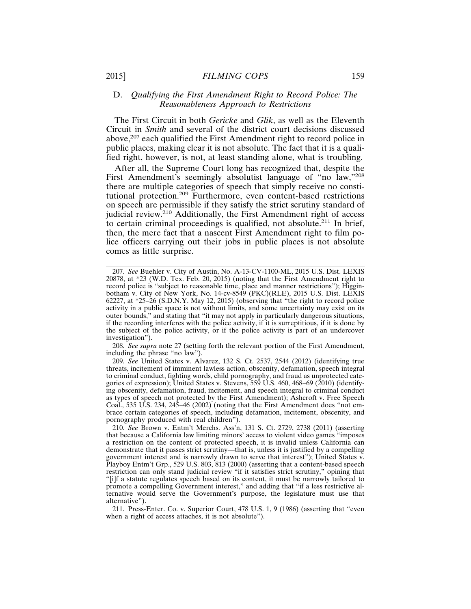#### D. *Qualifying the First Amendment Right to Record Police: The Reasonableness Approach to Restrictions*

The First Circuit in both *Gericke* and *Glik*, as well as the Eleventh Circuit in *Smith* and several of the district court decisions discussed above,<sup>207</sup> each qualified the First Amendment right to record police in public places, making clear it is not absolute. The fact that it is a qualified right, however, is not, at least standing alone, what is troubling.

After all, the Supreme Court long has recognized that, despite the First Amendment's seemingly absolutist language of "no law,"208 there are multiple categories of speech that simply receive no constitutional protection.209 Furthermore, even content-based restrictions on speech are permissible if they satisfy the strict scrutiny standard of judicial review.<sup>210</sup> Additionally, the First Amendment right of access to certain criminal proceedings is qualified, not absolute.211 In brief, then, the mere fact that a nascent First Amendment right to film police officers carrying out their jobs in public places is not absolute comes as little surprise.

208. *See supra* note 27 (setting forth the relevant portion of the First Amendment, including the phrase "no law").

209. *See* United States v. Alvarez, 132 S. Ct. 2537, 2544 (2012) (identifying true threats, incitement of imminent lawless action, obscenity, defamation, speech integral to criminal conduct, fighting words, child pornography, and fraud as unprotected categories of expression); United States v. Stevens, 559 U.S. 460, 468–69 (2010) (identifying obscenity, defamation, fraud, incitement, and speech integral to criminal conduct as types of speech not protected by the First Amendment); Ashcroft v. Free Speech Coal., 535 U.S. 234, 245–46 (2002) (noting that the First Amendment does "not embrace certain categories of speech, including defamation, incitement, obscenity, and pornography produced with real children").

210. *See* Brown v. Entm't Merchs. Ass'n, 131 S. Ct. 2729, 2738 (2011) (asserting that because a California law limiting minors' access to violent video games "imposes a restriction on the content of protected speech, it is invalid unless California can demonstrate that it passes strict scrutiny—that is, unless it is justified by a compelling government interest and is narrowly drawn to serve that interest"); United States v. Playboy Entm't Grp., 529 U.S. 803, 813 (2000) (asserting that a content-based speech restriction can only stand judicial review "if it satisfies strict scrutiny," opining that "[i]f a statute regulates speech based on its content, it must be narrowly tailored to promote a compelling Government interest," and adding that "if a less restrictive alternative would serve the Government's purpose, the legislature must use that alternative").

211. Press-Enter. Co. v. Superior Court, 478 U.S. 1, 9 (1986) (asserting that "even when a right of access attaches, it is not absolute").

<sup>207.</sup> *See* Buehler v. City of Austin, No. A-13-CV-1100-ML, 2015 U.S. Dist. LEXIS 20878, at \*23 (W.D. Tex. Feb. 20, 2015) (noting that the First Amendment right to record police is "subject to reasonable time, place and manner restrictions"); Higginbotham v. City of New York, No. 14-cv-8549 (PKC)(RLE), 2015 U.S. Dist. LEXIS 62227, at \*25–26 (S.D.N.Y. May 12, 2015) (observing that "the right to record police activity in a public space is not without limits, and some uncertainty may exist on its outer bounds," and stating that "it may not apply in particularly dangerous situations, if the recording interferes with the police activity, if it is surreptitious, if it is done by the subject of the police activity, or if the police activity is part of an undercover investigation").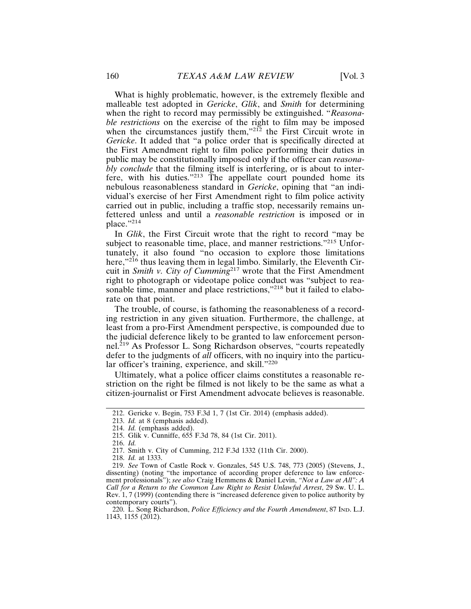What is highly problematic, however, is the extremely flexible and malleable test adopted in *Gericke*, *Glik*, and *Smith* for determining when the right to record may permissibly be extinguished. "*Reasonable restrictions* on the exercise of the right to film may be imposed when the circumstances justify them,"<sup>212</sup> the First Circuit wrote in *Gericke*. It added that "a police order that is specifically directed at the First Amendment right to film police performing their duties in public may be constitutionally imposed only if the officer can *reasonably conclude* that the filming itself is interfering, or is about to interfere, with his duties."213 The appellate court pounded home its nebulous reasonableness standard in *Gericke*, opining that "an individual's exercise of her First Amendment right to film police activity carried out in public, including a traffic stop, necessarily remains unfettered unless and until a *reasonable restriction* is imposed or in place."214

In *Glik*, the First Circuit wrote that the right to record "may be subject to reasonable time, place, and manner restrictions."<sup>215</sup> Unfortunately, it also found "no occasion to explore those limitations here,"<sup>216</sup> thus leaving them in legal limbo. Similarly, the Eleventh Circuit in *Smith v. City of Cumming*217 wrote that the First Amendment right to photograph or videotape police conduct was "subject to reasonable time, manner and place restrictions,"<sup>218</sup> but it failed to elaborate on that point.

The trouble, of course, is fathoming the reasonableness of a recording restriction in any given situation. Furthermore, the challenge, at least from a pro-First Amendment perspective, is compounded due to the judicial deference likely to be granted to law enforcement personnel.219 As Professor L. Song Richardson observes, "courts repeatedly defer to the judgments of *all* officers, with no inquiry into the particular officer's training, experience, and skill."<sup>220</sup>

Ultimately, what a police officer claims constitutes a reasonable restriction on the right be filmed is not likely to be the same as what a citizen-journalist or First Amendment advocate believes is reasonable.

216. *Id.*

218. *Id.* at 1333.

<sup>212.</sup> Gericke v. Begin, 753 F.3d 1, 7 (1st Cir. 2014) (emphasis added).

<sup>213.</sup> *Id.* at 8 (emphasis added).

<sup>214.</sup> *Id.* (emphasis added).

<sup>215.</sup> Glik v. Cunniffe, 655 F.3d 78, 84 (1st Cir. 2011).

<sup>217.</sup> Smith v. City of Cumming, 212 F.3d 1332 (11th Cir. 2000).

<sup>219.</sup> *See* Town of Castle Rock v. Gonzales, 545 U.S. 748, 773 (2005) (Stevens, J., dissenting) (noting "the importance of according proper deference to law enforcement professionals"); *see also* Craig Hemmens & Daniel Levin, *"Not a Law at All": A Call for a Return to the Common Law Right to Resist Unlawful Arrest*, 29 Sw. U. L. Rev. 1, 7 (1999) (contending there is "increased deference given to police authority by contemporary courts").

<sup>220.</sup> L. Song Richardson, *Police Efficiency and the Fourth Amendment*, 87 IND. L.J. 1143, 1155 (2012).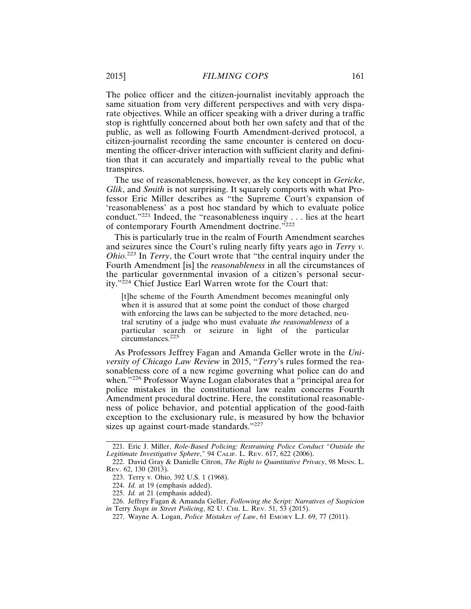The police officer and the citizen-journalist inevitably approach the same situation from very different perspectives and with very disparate objectives. While an officer speaking with a driver during a traffic stop is rightfully concerned about both her own safety and that of the public, as well as following Fourth Amendment-derived protocol, a citizen-journalist recording the same encounter is centered on documenting the officer-driver interaction with sufficient clarity and definition that it can accurately and impartially reveal to the public what transpires.

The use of reasonableness, however, as the key concept in *Gericke*, *Glik*, and *Smith* is not surprising. It squarely comports with what Professor Eric Miller describes as "the Supreme Court's expansion of 'reasonableness' as a post hoc standard by which to evaluate police conduct."<sup>221</sup> Indeed, the "reasonableness inquiry . . . lies at the heart of contemporary Fourth Amendment doctrine."222

This is particularly true in the realm of Fourth Amendment searches and seizures since the Court's ruling nearly fifty years ago in *Terry v. Ohio*. 223 In *Terry*, the Court wrote that "the central inquiry under the Fourth Amendment [is] the *reasonableness* in all the circumstances of the particular governmental invasion of a citizen's personal security."<sup>224</sup> Chief Justice Earl Warren wrote for the Court that:

[t]he scheme of the Fourth Amendment becomes meaningful only when it is assured that at some point the conduct of those charged with enforcing the laws can be subjected to the more detached, neutral scrutiny of a judge who must evaluate *the reasonableness* of a particular search or seizure in light of the particular circumstances.225

As Professors Jeffrey Fagan and Amanda Geller wrote in the *University of Chicago Law Review* in 2015, "*Terry*'s rules formed the reasonableness core of a new regime governing what police can do and when."<sup>226</sup> Professor Wayne Logan elaborates that a "principal area for police mistakes in the constitutional law realm concerns Fourth Amendment procedural doctrine. Here, the constitutional reasonableness of police behavior, and potential application of the good-faith exception to the exclusionary rule, is measured by how the behavior sizes up against court-made standards."<sup>227</sup>

<sup>221.</sup> Eric J. Miller, *Role-Based Policing: Restraining Police Conduct "Outside the Legitimate Investigative Sphere*,*"* 94 CALIF. L. REV. 617, 622 (2006).

<sup>222.</sup> David Gray & Danielle Citron, *The Right to Quantitative Privacy*, 98 MINN. L. REV. 62, 130 (2013).

<sup>223.</sup> Terry v. Ohio, 392 U.S. 1 (1968).

<sup>224.</sup> *Id.* at 19 (emphasis added).

<sup>225.</sup> *Id.* at 21 (emphasis added).

<sup>226.</sup> Jeffrey Fagan & Amanda Geller, *Following the Script: Narratives of Suspicion in* Terry *Stops in Street Policing*, 82 U. CHI. L. REV. 51, 53 (2015).

<sup>227.</sup> Wayne A. Logan, *Police Mistakes of Law*, 61 EMORY L.J. 69, 77 (2011).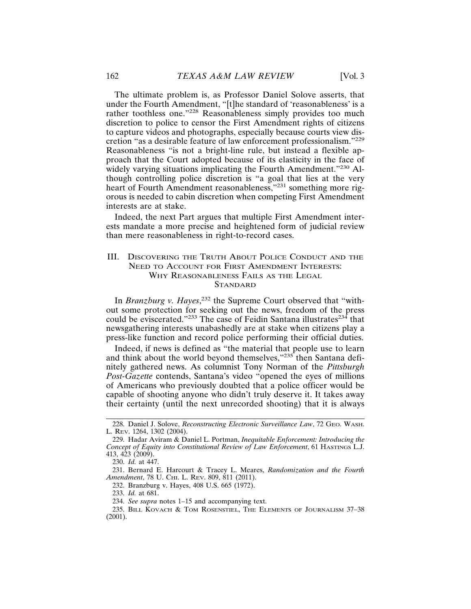The ultimate problem is, as Professor Daniel Solove asserts, that under the Fourth Amendment, "[t]he standard of 'reasonableness' is a rather toothless one."228 Reasonableness simply provides too much discretion to police to censor the First Amendment rights of citizens to capture videos and photographs, especially because courts view discretion "as a desirable feature of law enforcement professionalism."<sup>229</sup> Reasonableness "is not a bright-line rule, but instead a flexible approach that the Court adopted because of its elasticity in the face of widely varying situations implicating the Fourth Amendment."<sup>230</sup> Although controlling police discretion is "a goal that lies at the very heart of Fourth Amendment reasonableness,"<sup>231</sup> something more rigorous is needed to cabin discretion when competing First Amendment interests are at stake.

Indeed, the next Part argues that multiple First Amendment interests mandate a more precise and heightened form of judicial review than mere reasonableness in right-to-record cases.

# III. DISCOVERING THE TRUTH ABOUT POLICE CONDUCT AND THE NEED TO ACCOUNT FOR FIRST AMENDMENT INTERESTS: WHY REASONABLENESS FAILS AS THE LEGAL **STANDARD**

In *Branzburg v. Hayes*,<sup>232</sup> the Supreme Court observed that "without some protection for seeking out the news, freedom of the press could be eviscerated."<sup>233</sup> The case of Feidin Santana illustrates<sup>234</sup> that newsgathering interests unabashedly are at stake when citizens play a press-like function and record police performing their official duties.

Indeed, if news is defined as "the material that people use to learn and think about the world beyond themselves,"235<sup>+</sup> then Santana definitely gathered news. As columnist Tony Norman of the *Pittsburgh Post-Gazette* contends, Santana's video "opened the eyes of millions of Americans who previously doubted that a police officer would be capable of shooting anyone who didn't truly deserve it. It takes away their certainty (until the next unrecorded shooting) that it is always

232. Branzburg v. Hayes, 408 U.S. 665 (1972).

233. *Id.* at 681.

<sup>228.</sup> Daniel J. Solove, *Reconstructing Electronic Surveillance Law*, 72 GEO. WASH. L. REV. 1264, 1302 (2004).

<sup>229.</sup> Hadar Aviram & Daniel L. Portman, *Inequitable Enforcement: Introducing the Concept of Equity into Constitutional Review of Law Enforcement*, 61 HASTINGS L.J. 413, 423 (2009).

<sup>230.</sup> *Id.* at 447.

<sup>231.</sup> Bernard E. Harcourt & Tracey L. Meares, *Randomization and the Fourth Amendment*, 78 U. CHI. L. REV. 809, 811 (2011).

<sup>234.</sup> *See supra* notes 1–15 and accompanying text.

<sup>235.</sup> BILL KOVACH & TOM ROSENSTIEL, THE ELEMENTS OF JOURNALISM 37–38 (2001).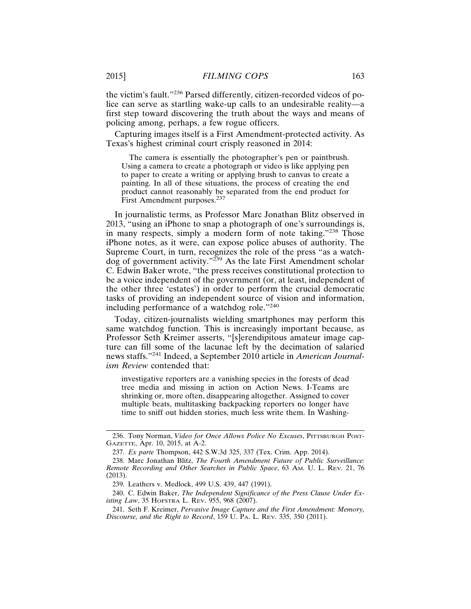the victim's fault."236 Parsed differently, citizen-recorded videos of police can serve as startling wake-up calls to an undesirable reality—a first step toward discovering the truth about the ways and means of policing among, perhaps, a few rogue officers.

Capturing images itself is a First Amendment-protected activity. As Texas's highest criminal court crisply reasoned in 2014:

The camera is essentially the photographer's pen or paintbrush. Using a camera to create a photograph or video is like applying pen to paper to create a writing or applying brush to canvas to create a painting. In all of these situations, the process of creating the end product cannot reasonably be separated from the end product for First Amendment purposes.<sup>237</sup>

In journalistic terms, as Professor Marc Jonathan Blitz observed in 2013, "using an iPhone to snap a photograph of one's surroundings is, in many respects, simply a modern form of note taking."<sup>238</sup> Those iPhone notes, as it were, can expose police abuses of authority. The Supreme Court, in turn, recognizes the role of the press "as a watchdog of government activity."<sup>239</sup> As the late First Amendment scholar C. Edwin Baker wrote, "the press receives constitutional protection to be a voice independent of the government (or, at least, independent of the other three 'estates') in order to perform the crucial democratic tasks of providing an independent source of vision and information, including performance of a watchdog role."<sup>240</sup>

Today, citizen-journalists wielding smartphones may perform this same watchdog function. This is increasingly important because, as Professor Seth Kreimer asserts, "[s]erendipitous amateur image capture can fill some of the lacunae left by the decimation of salaried news staffs."241 Indeed, a September 2010 article in *American Journalism Review* contended that:

investigative reporters are a vanishing species in the forests of dead tree media and missing in action on Action News. I-Teams are shrinking or, more often, disappearing altogether. Assigned to cover multiple beats, multitasking backpacking reporters no longer have time to sniff out hidden stories, much less write them. In Washing-

<sup>236.</sup> Tony Norman, *Video for Once Allows Police No Excuses*, PITTSBURGH POST-GAZETTE, Apr. 10, 2015, at A-2.

<sup>237.</sup> *Ex parte* Thompson, 442 S.W.3d 325, 337 (Tex. Crim. App. 2014).

<sup>238.</sup> Marc Jonathan Blitz, *The Fourth Amendment Future of Public Surveillance: Remote Recording and Other Searches in Public Space*, 63 AM. U. L. REV. 21, 76 (2013).

<sup>239.</sup> Leathers v. Medlock, 499 U.S. 439, 447 (1991).

<sup>240.</sup> C. Edwin Baker, *The Independent Significance of the Press Clause Under Existing Law*, 35 HOFSTRA L. REV. 955, 968 (2007).

<sup>241.</sup> Seth F. Kreimer, *Pervasive Image Capture and the First Amendment: Memory, Discourse, and the Right to Record*, 159 U. PA. L. REV. 335, 350 (2011).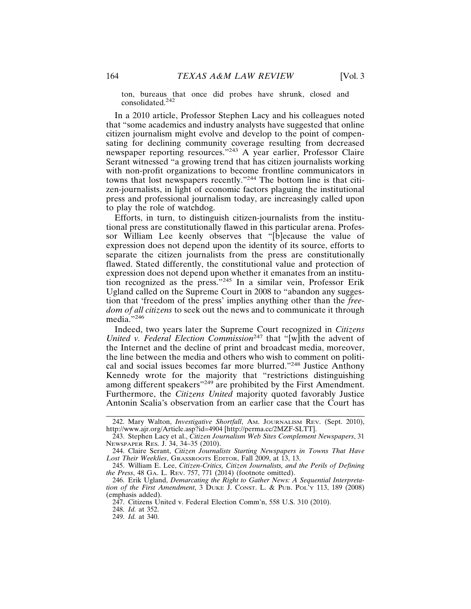ton, bureaus that once did probes have shrunk, closed and consolidated.242

In a 2010 article, Professor Stephen Lacy and his colleagues noted that "some academics and industry analysts have suggested that online citizen journalism might evolve and develop to the point of compensating for declining community coverage resulting from decreased newspaper reporting resources."243 A year earlier, Professor Claire Serant witnessed "a growing trend that has citizen journalists working with non-profit organizations to become frontline communicators in towns that lost newspapers recently."244 The bottom line is that citizen-journalists, in light of economic factors plaguing the institutional press and professional journalism today, are increasingly called upon to play the role of watchdog.

Efforts, in turn, to distinguish citizen-journalists from the institutional press are constitutionally flawed in this particular arena. Professor William Lee keenly observes that "[b]ecause the value of expression does not depend upon the identity of its source, efforts to separate the citizen journalists from the press are constitutionally flawed. Stated differently, the constitutional value and protection of expression does not depend upon whether it emanates from an institution recognized as the press."245 In a similar vein, Professor Erik Ugland called on the Supreme Court in 2008 to "abandon any suggestion that 'freedom of the press' implies anything other than the *freedom of all citizens* to seek out the news and to communicate it through media."246

Indeed, two years later the Supreme Court recognized in *Citizens United v. Federal Election Commission*<sup>247</sup> that "[w]ith the advent of the Internet and the decline of print and broadcast media, moreover, the line between the media and others who wish to comment on political and social issues becomes far more blurred."248 Justice Anthony Kennedy wrote for the majority that "restrictions distinguishing among different speakers"<sup>249</sup> are prohibited by the First Amendment. Furthermore, the *Citizens United* majority quoted favorably Justice Antonin Scalia's observation from an earlier case that the Court has

<sup>242.</sup> Mary Walton, *Investigative Shortfall*, AM. JOURNALISM REV. (Sept. 2010), http://www.ajr.org/Article.asp?id=4904 [http://perma.cc/2MZF-SLTT].

<sup>243.</sup> Stephen Lacy et al., *Citizen Journalism Web Sites Complement Newspapers*, 31 NEWSPAPER RES. J. 34, 34–35 (2010).

<sup>244.</sup> Claire Serant, *Citizen Journalists Starting Newspapers in Towns That Have Lost Their Weeklies*, GRASSROOTS EDITOR, Fall 2009, at 13, 13.

<sup>245.</sup> William E. Lee, *Citizen-Critics, Citizen Journalists, and the Perils of Defining the Press*, 48 GA. L. REV. 757, 771 (2014) (footnote omitted).

<sup>246.</sup> Erik Ugland, *Demarcating the Right to Gather News: A Sequential Interpretation of the First Amendment*, 3 DUKE J. CONST. L. & PUB. POL'Y 113, 189 (2008) (emphasis added).

<sup>247.</sup> Citizens United v. Federal Election Comm'n, 558 U.S. 310 (2010).

<sup>248.</sup> *Id.* at 352.

<sup>249.</sup> *Id.* at 340.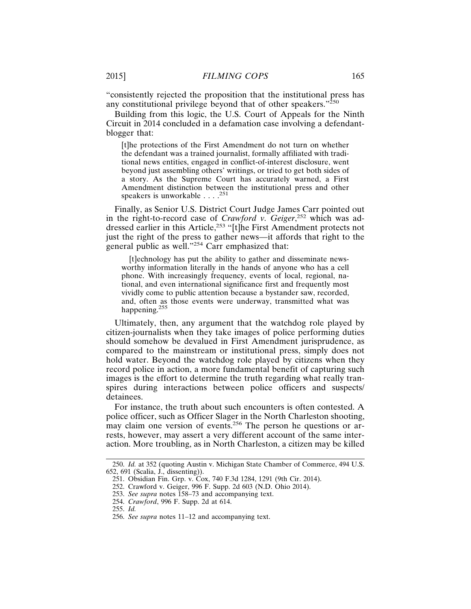"consistently rejected the proposition that the institutional press has any constitutional privilege beyond that of other speakers."<sup>250</sup>

Building from this logic, the U.S. Court of Appeals for the Ninth Circuit in 2014 concluded in a defamation case involving a defendantblogger that:

[t]he protections of the First Amendment do not turn on whether the defendant was a trained journalist, formally affiliated with traditional news entities, engaged in conflict-of-interest disclosure, went beyond just assembling others' writings, or tried to get both sides of a story. As the Supreme Court has accurately warned, a First Amendment distinction between the institutional press and other speakers is unworkable . . . .<sup>251</sup>

Finally, as Senior U.S. District Court Judge James Carr pointed out in the right-to-record case of *Crawford v. Geiger*, 252 which was addressed earlier in this Article,<sup>253</sup> "[t]he First Amendment protects not just the right of the press to gather news—it affords that right to the general public as well."<sup>254</sup> Carr emphasized that:

[t]echnology has put the ability to gather and disseminate newsworthy information literally in the hands of anyone who has a cell phone. With increasingly frequency, events of local, regional, national, and even international significance first and frequently most vividly come to public attention because a bystander saw, recorded, and, often as those events were underway, transmitted what was happening.255

Ultimately, then, any argument that the watchdog role played by citizen-journalists when they take images of police performing duties should somehow be devalued in First Amendment jurisprudence, as compared to the mainstream or institutional press, simply does not hold water. Beyond the watchdog role played by citizens when they record police in action, a more fundamental benefit of capturing such images is the effort to determine the truth regarding what really transpires during interactions between police officers and suspects/ detainees.

For instance, the truth about such encounters is often contested. A police officer, such as Officer Slager in the North Charleston shooting, may claim one version of events.256 The person he questions or arrests, however, may assert a very different account of the same interaction. More troubling, as in North Charleston, a citizen may be killed

<sup>250.</sup> *Id.* at 352 (quoting Austin v. Michigan State Chamber of Commerce, 494 U.S. 652, 691 (Scalia, J., dissenting)).

<sup>251.</sup> Obsidian Fin. Grp. v. Cox, 740 F.3d 1284, 1291 (9th Cir. 2014).

<sup>252.</sup> Crawford v. Geiger, 996 F. Supp. 2d 603 (N.D. Ohio 2014).

<sup>253.</sup> *See supra* notes 158–73 and accompanying text.

<sup>254.</sup> *Crawford*, 996 F. Supp. 2d at 614.

<sup>255.</sup> *Id.*

<sup>256.</sup> *See supra* notes 11–12 and accompanying text.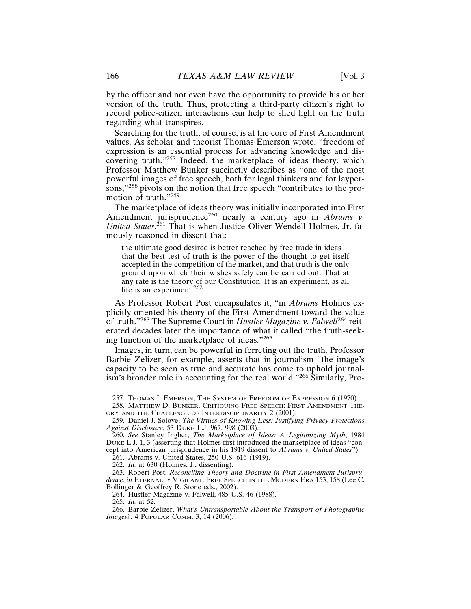by the officer and not even have the opportunity to provide his or her version of the truth. Thus, protecting a third-party citizen's right to record police-citizen interactions can help to shed light on the truth regarding what transpires.

Searching for the truth, of course, is at the core of First Amendment values. As scholar and theorist Thomas Emerson wrote, "freedom of expression is an essential process for advancing knowledge and discovering truth."257 Indeed, the marketplace of ideas theory, which Professor Matthew Bunker succinctly describes as "one of the most powerful images of free speech, both for legal thinkers and for laypersons,"<sup>258</sup> pivots on the notion that free speech "contributes to the promotion of truth."<sup>259</sup>

The marketplace of ideas theory was initially incorporated into First Amendment jurisprudence<sup>260</sup> nearly a century ago in *Abrams v*. *United States*. 261 That is when Justice Oliver Wendell Holmes, Jr. famously reasoned in dissent that:

the ultimate good desired is better reached by free trade in ideas that the best test of truth is the power of the thought to get itself accepted in the competition of the market, and that truth is the only ground upon which their wishes safely can be carried out. That at any rate is the theory of our Constitution. It is an experiment, as all life is an experiment. $262$ 

As Professor Robert Post encapsulates it, "in *Abrams* Holmes explicitly oriented his theory of the First Amendment toward the value of truth."263 The Supreme Court in *Hustler Magazine v. Falwell*264 reiterated decades later the importance of what it called "the truth-seeking function of the marketplace of ideas."<sup>265</sup>

Images, in turn, can be powerful in ferreting out the truth. Professor Barbie Zelizer, for example, asserts that in journalism "the image's capacity to be seen as true and accurate has come to uphold journalism's broader role in accounting for the real world."266 Similarly, Pro-

264. Hustler Magazine v. Falwell, 485 U.S. 46 (1988).

<sup>257.</sup> THOMAS I. EMERSON, THE SYSTEM OF FREEDOM OF EXPRESSION 6 (1970).

<sup>258.</sup> MATTHEW D. BUNKER, CRITIQUING FREE SPEECH: FIRST AMENDMENT THE-ORY AND THE CHALLENGE OF INTERDISCIPLINARITY 2 (2001).

<sup>259.</sup> Daniel J. Solove, *The Virtues of Knowing Less: Justifying Privacy Protections Against Disclosure*, 53 DUKE L.J. 967, 998 (2003).

<sup>260.</sup> *See* Stanley Ingber, *The Marketplace of Ideas: A Legitimizing Myth*, 1984 DUKE L.J. 1, 3 (asserting that Holmes first introduced the marketplace of ideas "concept into American jurisprudence in his 1919 dissent to *Abrams v. United States*").

<sup>261.</sup> Abrams v. United States, 250 U.S. 616 (1919).

<sup>262.</sup> *Id.* at 630 (Holmes, J., dissenting).

<sup>263.</sup> Robert Post, *Reconciling Theory and Doctrine in First Amendment Jurisprudence*, *in* ETERNALLY VIGILANT: FREE SPEECH IN THE MODERN ERA 153, 158 (Lee C. Bollinger & Geoffrey R. Stone eds., 2002).

<sup>265.</sup> *Id.* at 52.

<sup>266.</sup> Barbie Zelizer, *What's Untransportable About the Transport of Photographic Images?*, 4 POPULAR COMM. 3, 14 (2006).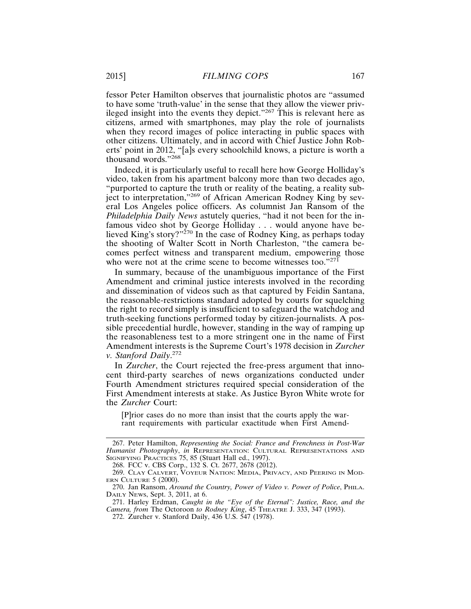fessor Peter Hamilton observes that journalistic photos are "assumed to have some 'truth-value' in the sense that they allow the viewer privileged insight into the events they depict."267 This is relevant here as citizens, armed with smartphones, may play the role of journalists when they record images of police interacting in public spaces with other citizens. Ultimately, and in accord with Chief Justice John Roberts' point in 2012, "[a]s every schoolchild knows, a picture is worth a thousand words."268

Indeed, it is particularly useful to recall here how George Holliday's video, taken from his apartment balcony more than two decades ago, "purported to capture the truth or reality of the beating, a reality subject to interpretation,"269 of African American Rodney King by several Los Angeles police officers. As columnist Jan Ransom of the *Philadelphia Daily News* astutely queries, "had it not been for the infamous video shot by George Holliday . . . would anyone have believed King's story?"<sup>270</sup> In the case of Rodney King, as perhaps today the shooting of Walter Scott in North Charleston, "the camera becomes perfect witness and transparent medium, empowering those who were not at the crime scene to become witnesses too."271

In summary, because of the unambiguous importance of the First Amendment and criminal justice interests involved in the recording and dissemination of videos such as that captured by Feidin Santana, the reasonable-restrictions standard adopted by courts for squelching the right to record simply is insufficient to safeguard the watchdog and truth-seeking functions performed today by citizen-journalists. A possible precedential hurdle, however, standing in the way of ramping up the reasonableness test to a more stringent one in the name of First Amendment interests is the Supreme Court's 1978 decision in *Zurcher v. Stanford Daily*. 272

In *Zurcher*, the Court rejected the free-press argument that innocent third-party searches of news organizations conducted under Fourth Amendment strictures required special consideration of the First Amendment interests at stake. As Justice Byron White wrote for the *Zurcher* Court:

[P]rior cases do no more than insist that the courts apply the warrant requirements with particular exactitude when First Amend-

<sup>267.</sup> Peter Hamilton, *Representing the Social: France and Frenchness in Post-War Humanist Photography*, *in* REPRESENTATION: CULTURAL REPRESENTATIONS AND SIGNIFYING PRACTICES 75, 85 (Stuart Hall ed., 1997).

<sup>268.</sup> FCC v. CBS Corp., 132 S. Ct. 2677, 2678 (2012).

<sup>269.</sup> CLAY CALVERT, VOYEUR NATION: MEDIA, PRIVACY, AND PEERING IN MOD-ERN CULTURE 5 (2000).

<sup>270.</sup> Jan Ransom, *Around the Country, Power of Video v. Power of Police*, PHILA. DAILY NEWS, Sept. 3, 2011, at 6.

<sup>271.</sup> Harley Erdman, *Caught in the "Eye of the Eternal": Justice, Race, and the Camera, from* The Octoroon *to Rodney King*, 45 THEATRE J. 333, 347 (1993).

<sup>272.</sup> Zurcher v. Stanford Daily, 436 U.S. 547 (1978).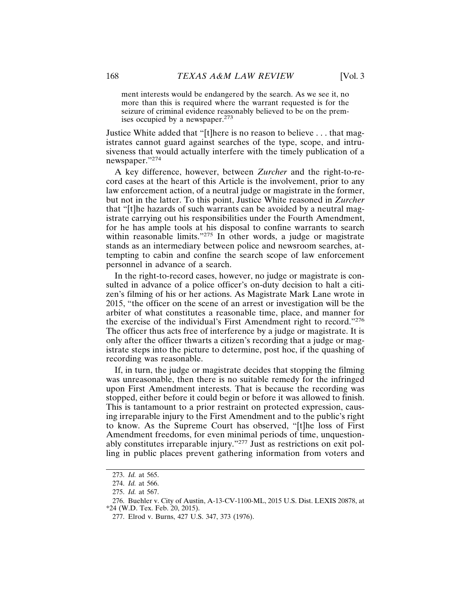ment interests would be endangered by the search. As we see it, no more than this is required where the warrant requested is for the seizure of criminal evidence reasonably believed to be on the premises occupied by a newspaper. $273$ 

Justice White added that "[t]here is no reason to believe . . . that magistrates cannot guard against searches of the type, scope, and intrusiveness that would actually interfere with the timely publication of a newspaper."<sup>274</sup>

A key difference, however, between *Zurcher* and the right-to-record cases at the heart of this Article is the involvement, prior to any law enforcement action, of a neutral judge or magistrate in the former, but not in the latter. To this point, Justice White reasoned in *Zurcher* that "[t]he hazards of such warrants can be avoided by a neutral magistrate carrying out his responsibilities under the Fourth Amendment, for he has ample tools at his disposal to confine warrants to search within reasonable limits."<sup>275</sup> In other words, a judge or magistrate stands as an intermediary between police and newsroom searches, attempting to cabin and confine the search scope of law enforcement personnel in advance of a search.

In the right-to-record cases, however, no judge or magistrate is consulted in advance of a police officer's on-duty decision to halt a citizen's filming of his or her actions. As Magistrate Mark Lane wrote in 2015, "the officer on the scene of an arrest or investigation will be the arbiter of what constitutes a reasonable time, place, and manner for the exercise of the individual's First Amendment right to record."<sup>276</sup> The officer thus acts free of interference by a judge or magistrate. It is only after the officer thwarts a citizen's recording that a judge or magistrate steps into the picture to determine, post hoc, if the quashing of recording was reasonable.

If, in turn, the judge or magistrate decides that stopping the filming was unreasonable, then there is no suitable remedy for the infringed upon First Amendment interests. That is because the recording was stopped, either before it could begin or before it was allowed to finish. This is tantamount to a prior restraint on protected expression, causing irreparable injury to the First Amendment and to the public's right to know. As the Supreme Court has observed, "[t]he loss of First Amendment freedoms, for even minimal periods of time, unquestionably constitutes irreparable injury."277 Just as restrictions on exit polling in public places prevent gathering information from voters and

<sup>273.</sup> *Id.* at 565.

<sup>274.</sup> *Id.* at 566.

<sup>275.</sup> *Id.* at 567.

<sup>276.</sup> Buehler v. City of Austin, A-13-CV-1100-ML, 2015 U.S. Dist. LEXIS 20878, at \*24 (W.D. Tex. Feb. 20, 2015).

<sup>277.</sup> Elrod v. Burns, 427 U.S. 347, 373 (1976).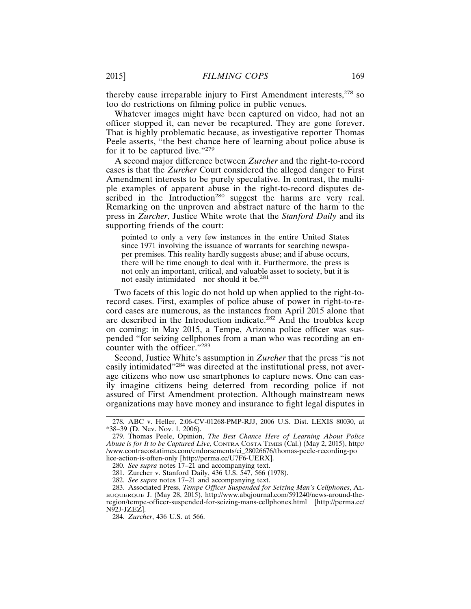thereby cause irreparable injury to First Amendment interests, $278$  so too do restrictions on filming police in public venues.

Whatever images might have been captured on video, had not an officer stopped it, can never be recaptured. They are gone forever. That is highly problematic because, as investigative reporter Thomas Peele asserts, "the best chance here of learning about police abuse is for it to be captured live."<sup>279</sup>

A second major difference between *Zurcher* and the right-to-record cases is that the *Zurcher* Court considered the alleged danger to First Amendment interests to be purely speculative. In contrast, the multiple examples of apparent abuse in the right-to-record disputes described in the Introduction<sup>280</sup> suggest the harms are very real. Remarking on the unproven and abstract nature of the harm to the press in *Zurcher*, Justice White wrote that the *Stanford Daily* and its supporting friends of the court:

pointed to only a very few instances in the entire United States since 1971 involving the issuance of warrants for searching newspaper premises. This reality hardly suggests abuse; and if abuse occurs, there will be time enough to deal with it. Furthermore, the press is not only an important, critical, and valuable asset to society, but it is not easily intimidated—nor should it be.<sup>281</sup>

Two facets of this logic do not hold up when applied to the right-torecord cases. First, examples of police abuse of power in right-to-record cases are numerous, as the instances from April 2015 alone that are described in the Introduction indicate.282 And the troubles keep on coming: in May 2015, a Tempe, Arizona police officer was suspended "for seizing cellphones from a man who was recording an encounter with the officer."<sup>283</sup>

Second, Justice White's assumption in *Zurcher* that the press "is not easily intimidated"284 was directed at the institutional press, not average citizens who now use smartphones to capture news. One can easily imagine citizens being deterred from recording police if not assured of First Amendment protection. Although mainstream news organizations may have money and insurance to fight legal disputes in

<sup>278.</sup> ABC v. Heller, 2:06-CV-01268-PMP-RJJ, 2006 U.S. Dist. LEXIS 80030, at \*38–39 (D. Nev. Nov. 1, 2006).

<sup>279.</sup> Thomas Peele, Opinion, *The Best Chance Here of Learning About Police Abuse is for It to be Captured Live*, CONTRA COSTA TIMES (Cal.) (May 2, 2015), http:/ /www.contracostatimes.com/endorsements/ci\_28026676/thomas-peele-recording-po lice-action-is-often-only [http://perma.cc/U7F6-UERX].

<sup>280.</sup> *See supra* notes 17–21 and accompanying text.

<sup>281.</sup> Zurcher v. Stanford Daily, 436 U.S. 547, 566 (1978).

<sup>282.</sup> *See supra* notes 17–21 and accompanying text.

<sup>283.</sup> Associated Press, *Tempe Officer Suspended for Seizing Man's Cellphones*, AL-BUQUERQUE J. (May 28, 2015), http://www.abqjournal.com/591240/news-around-theregion/tempe-officer-suspended-for-seizing-mans-cellphones.html [http://perma.cc/ N92J-JZEZ].

<sup>284.</sup> *Zurcher*, 436 U.S. at 566.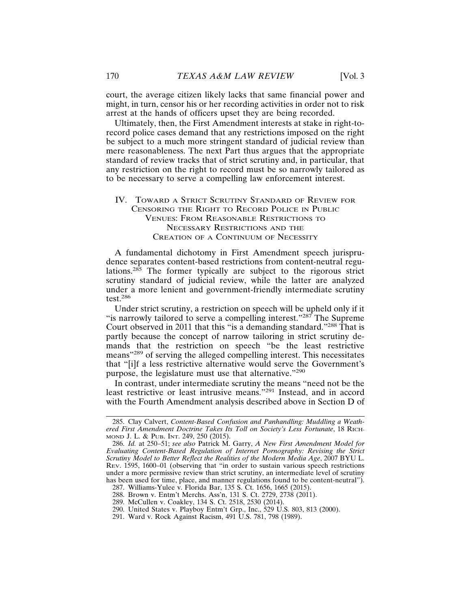court, the average citizen likely lacks that same financial power and might, in turn, censor his or her recording activities in order not to risk arrest at the hands of officers upset they are being recorded.

Ultimately, then, the First Amendment interests at stake in right-torecord police cases demand that any restrictions imposed on the right be subject to a much more stringent standard of judicial review than mere reasonableness. The next Part thus argues that the appropriate standard of review tracks that of strict scrutiny and, in particular, that any restriction on the right to record must be so narrowly tailored as to be necessary to serve a compelling law enforcement interest.

# IV. TOWARD A STRICT SCRUTINY STANDARD OF REVIEW FOR CENSORING THE RIGHT TO RECORD POLICE IN PUBLIC VENUES: FROM REASONABLE RESTRICTIONS TO NECESSARY RESTRICTIONS AND THE CREATION OF A CONTINUUM OF NECESSITY

A fundamental dichotomy in First Amendment speech jurisprudence separates content-based restrictions from content-neutral regulations.<sup>285</sup> The former typically are subject to the rigorous strict scrutiny standard of judicial review, while the latter are analyzed under a more lenient and government-friendly intermediate scrutiny test.286

Under strict scrutiny, a restriction on speech will be upheld only if it "is narrowly tailored to serve a compelling interest."287 The Supreme Court observed in 2011 that this "is a demanding standard."288 That is partly because the concept of narrow tailoring in strict scrutiny demands that the restriction on speech "be the least restrictive means"289 of serving the alleged compelling interest. This necessitates that "[i]f a less restrictive alternative would serve the Government's purpose, the legislature must use that alternative."<sup>290</sup>

In contrast, under intermediate scrutiny the means "need not be the least restrictive or least intrusive means."291 Instead, and in accord with the Fourth Amendment analysis described above in Section D of

<sup>285.</sup> Clay Calvert, *Content-Based Confusion and Panhandling: Muddling a Weathered First Amendment Doctrine Takes Its Toll on Society's Less Fortunate*, 18 RICH-MOND J. L. & PUB. INT. 249, 250 (2015).

<sup>286.</sup> *Id.* at 250–51; *see also* Patrick M. Garry, *A New First Amendment Model for Evaluating Content-Based Regulation of Internet Pornography: Revising the Strict Scrutiny Model to Better Reflect the Realities of the Modern Media Age*, 2007 BYU L. REV. 1595, 1600–01 (observing that "in order to sustain various speech restrictions under a more permissive review than strict scrutiny, an intermediate level of scrutiny has been used for time, place, and manner regulations found to be content-neutral").

<sup>287.</sup> Williams-Yulee v. Florida Bar, 135 S. Ct. 1656, 1665 (2015).

<sup>288.</sup> Brown v. Entm't Merchs. Ass'n, 131 S. Ct. 2729, 2738 (2011).

<sup>289.</sup> McCullen v. Coakley, 134 S. Ct. 2518, 2530 (2014).

<sup>290.</sup> United States v. Playboy Entm't Grp., Inc., 529 U.S. 803, 813 (2000).

<sup>291.</sup> Ward v. Rock Against Racism, 491 U.S. 781, 798 (1989).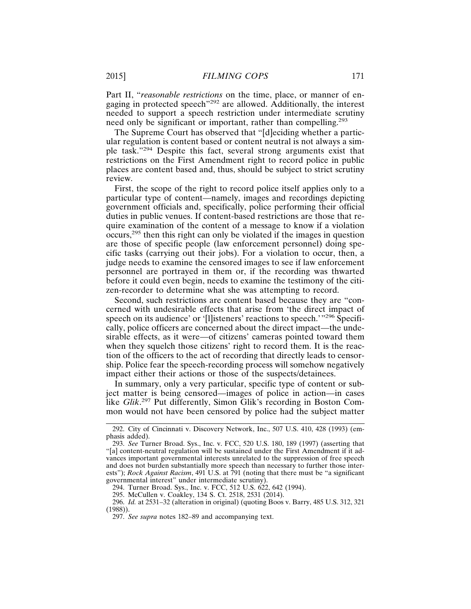Part II, "*reasonable restrictions* on the time, place, or manner of engaging in protected speech"292 are allowed. Additionally, the interest needed to support a speech restriction under intermediate scrutiny need only be significant or important, rather than compelling.<sup>293</sup>

The Supreme Court has observed that "[d]eciding whether a particular regulation is content based or content neutral is not always a simple task."294 Despite this fact, several strong arguments exist that restrictions on the First Amendment right to record police in public places are content based and, thus, should be subject to strict scrutiny review.

First, the scope of the right to record police itself applies only to a particular type of content—namely, images and recordings depicting government officials and, specifically, police performing their official duties in public venues. If content-based restrictions are those that require examination of the content of a message to know if a violation occurs,295 then this right can only be violated if the images in question are those of specific people (law enforcement personnel) doing specific tasks (carrying out their jobs). For a violation to occur, then, a judge needs to examine the censored images to see if law enforcement personnel are portrayed in them or, if the recording was thwarted before it could even begin, needs to examine the testimony of the citizen-recorder to determine what she was attempting to record.

Second, such restrictions are content based because they are "concerned with undesirable effects that arise from 'the direct impact of speech on its audience' or '[l]isteners' reactions to speech.'"<sup>296</sup> Specifically, police officers are concerned about the direct impact—the undesirable effects, as it were—of citizens' cameras pointed toward them when they squelch those citizens' right to record them. It is the reaction of the officers to the act of recording that directly leads to censorship. Police fear the speech-recording process will somehow negatively impact either their actions or those of the suspects/detainees.

In summary, only a very particular, specific type of content or subject matter is being censored—images of police in action—in cases like *Glik*. 297 Put differently, Simon Glik's recording in Boston Common would not have been censored by police had the subject matter

296. *Id.* at 2531–32 (alteration in original) (quoting Boos v. Barry, 485 U.S. 312, 321 (1988)).

<sup>292.</sup> City of Cincinnati v. Discovery Network, Inc., 507 U.S. 410, 428 (1993) (emphasis added).

<sup>293.</sup> *See* Turner Broad. Sys., Inc. v. FCC, 520 U.S. 180, 189 (1997) (asserting that "[a] content-neutral regulation will be sustained under the First Amendment if it advances important governmental interests unrelated to the suppression of free speech and does not burden substantially more speech than necessary to further those interests"); *Rock Against Racism*, 491 U.S. at 791 (noting that there must be "a significant governmental interest" under intermediate scrutiny).

<sup>294.</sup> Turner Broad. Sys., Inc. v. FCC, 512 U.S. 622, 642 (1994).

<sup>295.</sup> McCullen v. Coakley, 134 S. Ct. 2518, 2531 (2014).

<sup>297.</sup> *See supra* notes 182–89 and accompanying text.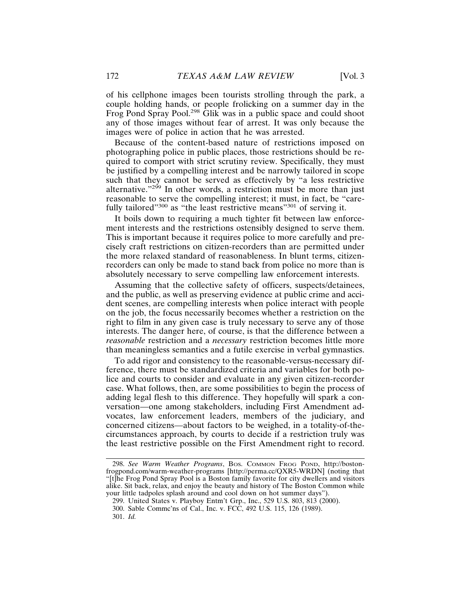of his cellphone images been tourists strolling through the park, a couple holding hands, or people frolicking on a summer day in the Frog Pond Spray Pool.<sup>298</sup> Glik was in a public space and could shoot any of those images without fear of arrest. It was only because the images were of police in action that he was arrested.

Because of the content-based nature of restrictions imposed on photographing police in public places, those restrictions should be required to comport with strict scrutiny review. Specifically, they must be justified by a compelling interest and be narrowly tailored in scope such that they cannot be served as effectively by "a less restrictive alternative." $2^{99}$  In other words, a restriction must be more than just reasonable to serve the compelling interest; it must, in fact, be "carefully tailored<sup>"300</sup> as "the least restrictive means<sup>"301</sup> of serving it.

It boils down to requiring a much tighter fit between law enforcement interests and the restrictions ostensibly designed to serve them. This is important because it requires police to more carefully and precisely craft restrictions on citizen-recorders than are permitted under the more relaxed standard of reasonableness. In blunt terms, citizenrecorders can only be made to stand back from police no more than is absolutely necessary to serve compelling law enforcement interests.

Assuming that the collective safety of officers, suspects/detainees, and the public, as well as preserving evidence at public crime and accident scenes, are compelling interests when police interact with people on the job, the focus necessarily becomes whether a restriction on the right to film in any given case is truly necessary to serve any of those interests. The danger here, of course, is that the difference between a *reasonable* restriction and a *necessary* restriction becomes little more than meaningless semantics and a futile exercise in verbal gymnastics.

To add rigor and consistency to the reasonable-versus-necessary difference, there must be standardized criteria and variables for both police and courts to consider and evaluate in any given citizen-recorder case. What follows, then, are some possibilities to begin the process of adding legal flesh to this difference. They hopefully will spark a conversation—one among stakeholders, including First Amendment advocates, law enforcement leaders, members of the judiciary, and concerned citizens—about factors to be weighed, in a totality-of-thecircumstances approach, by courts to decide if a restriction truly was the least restrictive possible on the First Amendment right to record.

<sup>298.</sup> *See Warm Weather Programs*, BOS. COMMON FROG POND, http://bostonfrogpond.com/warm-weather-programs [http://perma.cc/QXR5-WRDN] (noting that "[t]he Frog Pond Spray Pool is a Boston family favorite for city dwellers and visitors alike. Sit back, relax, and enjoy the beauty and history of The Boston Common while your little tadpoles splash around and cool down on hot summer days").

<sup>299.</sup> United States v. Playboy Entm't Grp., Inc., 529 U.S. 803, 813 (2000).

<sup>300.</sup> Sable Commc'ns of Cal., Inc. v. FCC, 492 U.S. 115, 126 (1989). 301. *Id.*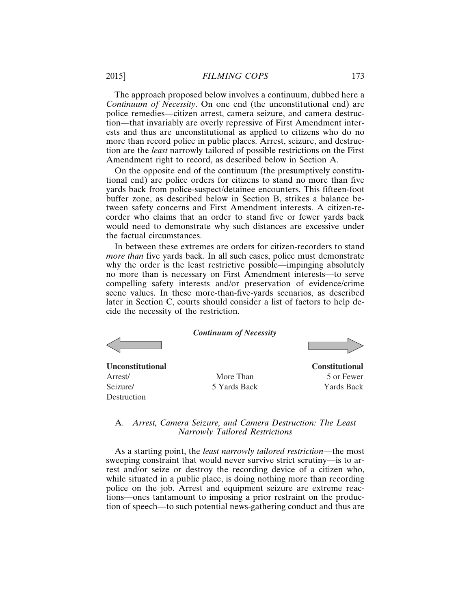The approach proposed below involves a continuum, dubbed here a *Continuum of Necessity*. On one end (the unconstitutional end) are police remedies—citizen arrest, camera seizure, and camera destruction—that invariably are overly repressive of First Amendment interests and thus are unconstitutional as applied to citizens who do no more than record police in public places. Arrest, seizure, and destruction are the *least* narrowly tailored of possible restrictions on the First Amendment right to record, as described below in Section A.

On the opposite end of the continuum (the presumptively constitutional end) are police orders for citizens to stand no more than five yards back from police-suspect/detainee encounters. This fifteen-foot buffer zone, as described below in Section B, strikes a balance between safety concerns and First Amendment interests. A citizen-recorder who claims that an order to stand five or fewer yards back would need to demonstrate why such distances are excessive under the factual circumstances.

In between these extremes are orders for citizen-recorders to stand *more than* five yards back. In all such cases, police must demonstrate why the order is the least restrictive possible—impinging absolutely no more than is necessary on First Amendment interests—to serve compelling safety interests and/or preservation of evidence/crime scene values. In these more-than-five-yards scenarios, as described later in Section C, courts should consider a list of factors to help decide the necessity of the restriction.

**Unconstitutional**

Arrest/ Seizure/ Destruction *Continuum of Necessity*

**Constitutional** 5 or Fewer Yards Back

# A. *Arrest, Camera Seizure, and Camera Destruction: The Least Narrowly Tailored Restrictions*

More Than 5 Yards Back

As a starting point, the *least narrowly tailored restriction*—the most sweeping constraint that would never survive strict scrutiny—is to arrest and/or seize or destroy the recording device of a citizen who, while situated in a public place, is doing nothing more than recording police on the job. Arrest and equipment seizure are extreme reactions—ones tantamount to imposing a prior restraint on the production of speech—to such potential news-gathering conduct and thus are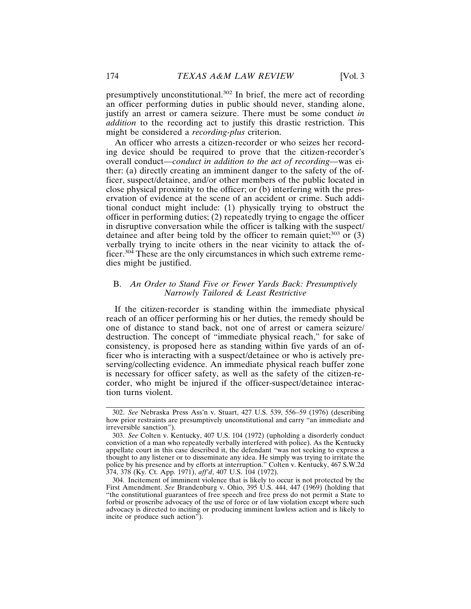an officer performing duties in public should never, standing alone, justify an arrest or camera seizure. There must be some conduct *in addition* to the recording act to justify this drastic restriction. This might be considered a *recording-plus* criterion.

An officer who arrests a citizen-recorder or who seizes her recording device should be required to prove that the citizen-recorder's overall conduct—*conduct in addition to the act of recording*—was either: (a) directly creating an imminent danger to the safety of the officer, suspect/detainee, and/or other members of the public located in close physical proximity to the officer; or (b) interfering with the preservation of evidence at the scene of an accident or crime. Such additional conduct might include: (1) physically trying to obstruct the officer in performing duties; (2) repeatedly trying to engage the officer in disruptive conversation while the officer is talking with the suspect/ detainee and after being told by the officer to remain quiet; $303$  or (3) verbally trying to incite others in the near vicinity to attack the officer.<sup>304</sup> These are the only circumstances in which such extreme remedies might be justified.

# B. *An Order to Stand Five or Fewer Yards Back: Presumptively Narrowly Tailored & Least Restrictive*

If the citizen-recorder is standing within the immediate physical reach of an officer performing his or her duties, the remedy should be one of distance to stand back, not one of arrest or camera seizure/ destruction. The concept of "immediate physical reach," for sake of consistency, is proposed here as standing within five yards of an officer who is interacting with a suspect/detainee or who is actively preserving/collecting evidence. An immediate physical reach buffer zone is necessary for officer safety, as well as the safety of the citizen-recorder, who might be injured if the officer-suspect/detainee interaction turns violent.

<sup>302.</sup> *See* Nebraska Press Ass'n v. Stuart, 427 U.S. 539, 556–59 (1976) (describing how prior restraints are presumptively unconstitutional and carry "an immediate and irreversible sanction").

<sup>303.</sup> *See* Colten v. Kentucky, 407 U.S. 104 (1972) (upholding a disorderly conduct conviction of a man who repeatedly verbally interfered with police). As the Kentucky appellate court in this case described it, the defendant "was not seeking to express a thought to any listener or to disseminate any idea. He simply was trying to irritate the police by his presence and by efforts at interruption." Colten v. Kentucky, 467 S.W.2d 374, 378 (Ky. Ct. App. 1971), *aff'd*, 407 U.S. 104 (1972).

<sup>304.</sup> Incitement of imminent violence that is likely to occur is not protected by the First Amendment. *See* Brandenburg v. Ohio, 395 U.S. 444, 447 (1969) (holding that "the constitutional guarantees of free speech and free press do not permit a State to forbid or proscribe advocacy of the use of force or of law violation except where such advocacy is directed to inciting or producing imminent lawless action and is likely to incite or produce such action").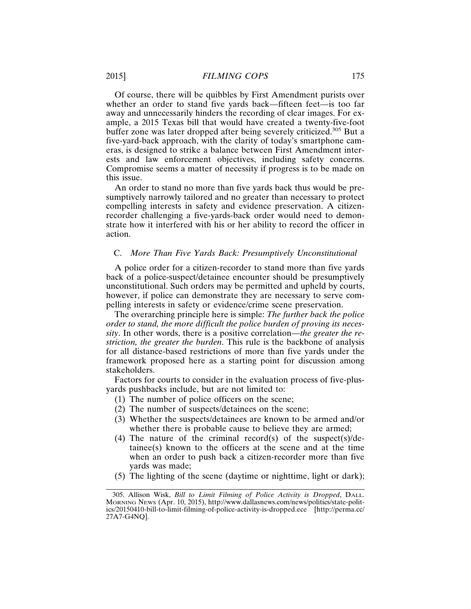Of course, there will be quibbles by First Amendment purists over whether an order to stand five yards back—fifteen feet—is too far away and unnecessarily hinders the recording of clear images. For example, a 2015 Texas bill that would have created a twenty-five-foot buffer zone was later dropped after being severely criticized.305 But a five-yard-back approach, with the clarity of today's smartphone cameras, is designed to strike a balance between First Amendment interests and law enforcement objectives, including safety concerns. Compromise seems a matter of necessity if progress is to be made on this issue.

An order to stand no more than five yards back thus would be presumptively narrowly tailored and no greater than necessary to protect compelling interests in safety and evidence preservation. A citizenrecorder challenging a five-yards-back order would need to demonstrate how it interfered with his or her ability to record the officer in action.

#### C. *More Than Five Yards Back: Presumptively Unconstitutional*

A police order for a citizen-recorder to stand more than five yards back of a police-suspect/detainee encounter should be presumptively unconstitutional. Such orders may be permitted and upheld by courts, however, if police can demonstrate they are necessary to serve compelling interests in safety or evidence/crime scene preservation.

The overarching principle here is simple: *The further back the police order to stand, the more difficult the police burden of proving its necessity*. In other words, there is a positive correlation—*the greater the restriction, the greater the burden*. This rule is the backbone of analysis for all distance-based restrictions of more than five yards under the framework proposed here as a starting point for discussion among stakeholders.

Factors for courts to consider in the evaluation process of five-plusyards pushbacks include, but are not limited to:

- (1) The number of police officers on the scene;
- (2) The number of suspects/detainees on the scene;
- (3) Whether the suspects/detainees are known to be armed and/or whether there is probable cause to believe they are armed;
- (4) The nature of the criminal record(s) of the suspect(s)/detainee(s) known to the officers at the scene and at the time when an order to push back a citizen-recorder more than five yards was made;
- (5) The lighting of the scene (daytime or nighttime, light or dark);

<sup>305.</sup> Allison Wisk, *Bill to Limit Filming of Police Activity is Dropped*, DALL. MORNING NEWS (Apr. 10, 2015), http://www.dallasnews.com/news/politics/state-politics/20150410-bill-to-limit-filming-of-police-activity-is-dropped.ece [http://perma.cc/ 27A7-G4NQ].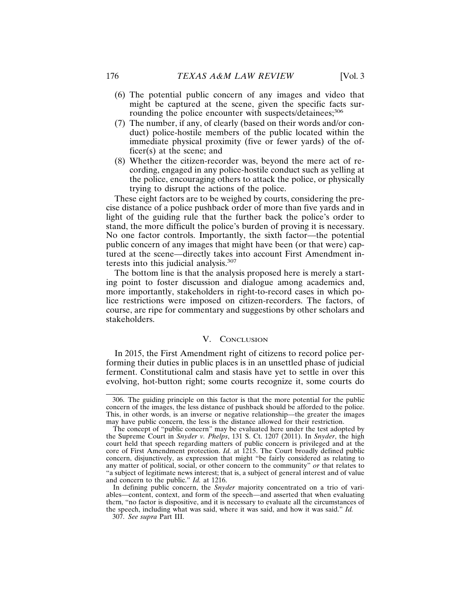- (6) The potential public concern of any images and video that might be captured at the scene, given the specific facts surrounding the police encounter with suspects/detainees;<sup>306</sup>
- (7) The number, if any, of clearly (based on their words and/or conduct) police-hostile members of the public located within the immediate physical proximity (five or fewer yards) of the officer(s) at the scene; and
- (8) Whether the citizen-recorder was, beyond the mere act of recording, engaged in any police-hostile conduct such as yelling at the police, encouraging others to attack the police, or physically trying to disrupt the actions of the police.

These eight factors are to be weighed by courts, considering the precise distance of a police pushback order of more than five yards and in light of the guiding rule that the further back the police's order to stand, the more difficult the police's burden of proving it is necessary. No one factor controls. Importantly, the sixth factor—the potential public concern of any images that might have been (or that were) captured at the scene—directly takes into account First Amendment interests into this judicial analysis.<sup>307</sup>

The bottom line is that the analysis proposed here is merely a starting point to foster discussion and dialogue among academics and, more importantly, stakeholders in right-to-record cases in which police restrictions were imposed on citizen-recorders. The factors, of course, are ripe for commentary and suggestions by other scholars and stakeholders.

#### V. CONCLUSION

In 2015, the First Amendment right of citizens to record police performing their duties in public places is in an unsettled phase of judicial ferment. Constitutional calm and stasis have yet to settle in over this evolving, hot-button right; some courts recognize it, some courts do

<sup>306.</sup> The guiding principle on this factor is that the more potential for the public concern of the images, the less distance of pushback should be afforded to the police. This, in other words, is an inverse or negative relationship—the greater the images may have public concern, the less is the distance allowed for their restriction.

The concept of "public concern" may be evaluated here under the test adopted by the Supreme Court in *Snyder v. Phelps*, 131 S. Ct. 1207 (2011). In *Snyder*, the high court held that speech regarding matters of public concern is privileged and at the core of First Amendment protection. *Id.* at 1215. The Court broadly defined public concern, disjunctively, as expression that might "be fairly considered as relating to any matter of political, social, or other concern to the community" *or* that relates to "a subject of legitimate news interest; that is, a subject of general interest and of value and concern to the public." *Id.* at 1216.

In defining public concern, the *Snyder* majority concentrated on a trio of variables—content, context, and form of the speech—and asserted that when evaluating them, "no factor is dispositive, and it is necessary to evaluate all the circumstances of the speech, including what was said, where it was said, and how it was said." *Id.*

<sup>307.</sup> *See supra* Part III.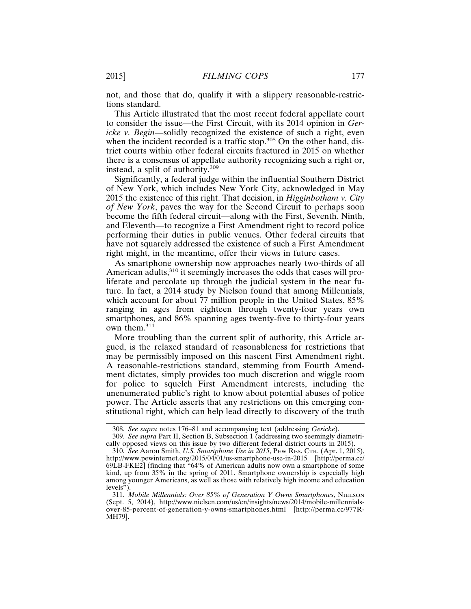not, and those that do, qualify it with a slippery reasonable-restrictions standard.

This Article illustrated that the most recent federal appellate court to consider the issue—the First Circuit, with its 2014 opinion in *Gericke v. Begin*—solidly recognized the existence of such a right, even when the incident recorded is a traffic stop.<sup>308</sup> On the other hand, district courts within other federal circuits fractured in 2015 on whether there is a consensus of appellate authority recognizing such a right or, instead, a split of authority.<sup>309</sup>

Significantly, a federal judge within the influential Southern District of New York, which includes New York City, acknowledged in May 2015 the existence of this right. That decision, in *Higginbotham v. City of New York*, paves the way for the Second Circuit to perhaps soon become the fifth federal circuit—along with the First, Seventh, Ninth, and Eleventh—to recognize a First Amendment right to record police performing their duties in public venues. Other federal circuits that have not squarely addressed the existence of such a First Amendment right might, in the meantime, offer their views in future cases.

As smartphone ownership now approaches nearly two-thirds of all American adults,<sup>310</sup> it seemingly increases the odds that cases will proliferate and percolate up through the judicial system in the near future. In fact, a 2014 study by Nielson found that among Millennials, which account for about 77 million people in the United States, 85% ranging in ages from eighteen through twenty-four years own smartphones, and 86% spanning ages twenty-five to thirty-four years own them.<sup>311</sup>

More troubling than the current split of authority, this Article argued, is the relaxed standard of reasonableness for restrictions that may be permissibly imposed on this nascent First Amendment right. A reasonable-restrictions standard, stemming from Fourth Amendment dictates, simply provides too much discretion and wiggle room for police to squelch First Amendment interests, including the unenumerated public's right to know about potential abuses of police power. The Article asserts that any restrictions on this emerging constitutional right, which can help lead directly to discovery of the truth

<sup>308.</sup> *See supra* notes 176–81 and accompanying text (addressing *Gericke*).

<sup>309.</sup> *See supra* Part II, Section B, Subsection 1 (addressing two seemingly diametrically opposed views on this issue by two different federal district courts in 2015).

<sup>310.</sup> *See* Aaron Smith, *U.S. Smartphone Use in 2015*, PEW RES. CTR. (Apr. 1, 2015), http://www.pewinternet.org/2015/04/01/us-smartphone-use-in-2015 [http://perma.cc/ 69LB-FKE2] (finding that "64% of American adults now own a smartphone of some kind, up from 35% in the spring of 2011. Smartphone ownership is especially high among younger Americans, as well as those with relatively high income and education levels").

<sup>311.</sup> *Mobile Millennials: Over 85% of Generation Y Owns Smartphones*, NIELSON (Sept. 5, 2014), http://www.nielsen.com/us/en/insights/news/2014/mobile-millennialsover-85-percent-of-generation-y-owns-smartphones.html [http://perma.cc/977R-MH79].